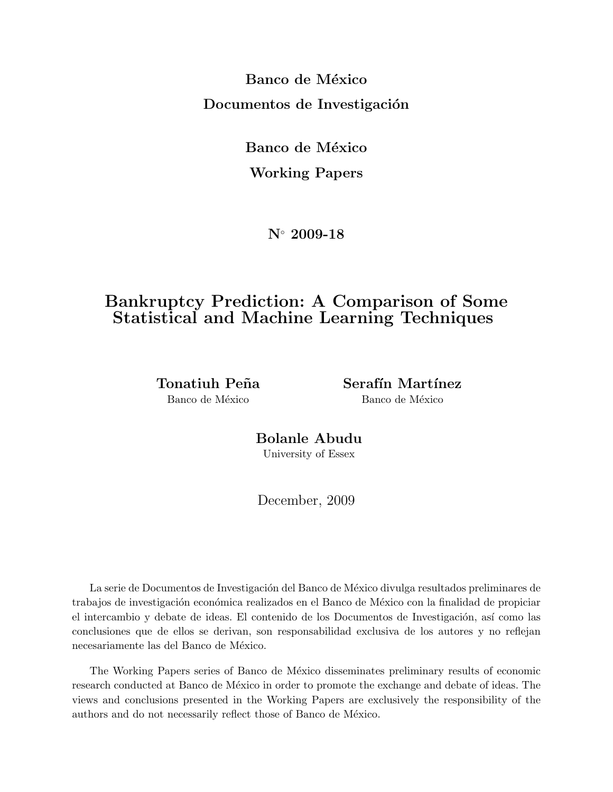Banco de México Documentos de Investigación

> Banco de México Working Papers

> > N◦ 2009-18

## Bankruptcy Prediction: A Comparison of Some Statistical and Machine Learning Techniques

Tonatiuh Peña Serafín Martínez Banco de México Banco de México

> Bolanle Abudu University of Essex

December, 2009

La serie de Documentos de Investigación del Banco de México divulga resultados preliminares de trabajos de investigación económica realizados en el Banco de México con la finalidad de propiciar el intercambio y debate de ideas. El contenido de los Documentos de Investigación, así como las conclusiones que de ellos se derivan, son responsabilidad exclusiva de los autores y no reflejan necesariamente las del Banco de México.

The Working Papers series of Banco de México disseminates preliminary results of economic research conducted at Banco de México in order to promote the exchange and debate of ideas. The views and conclusions presented in the Working Papers are exclusively the responsibility of the authors and do not necessarily reflect those of Banco de México.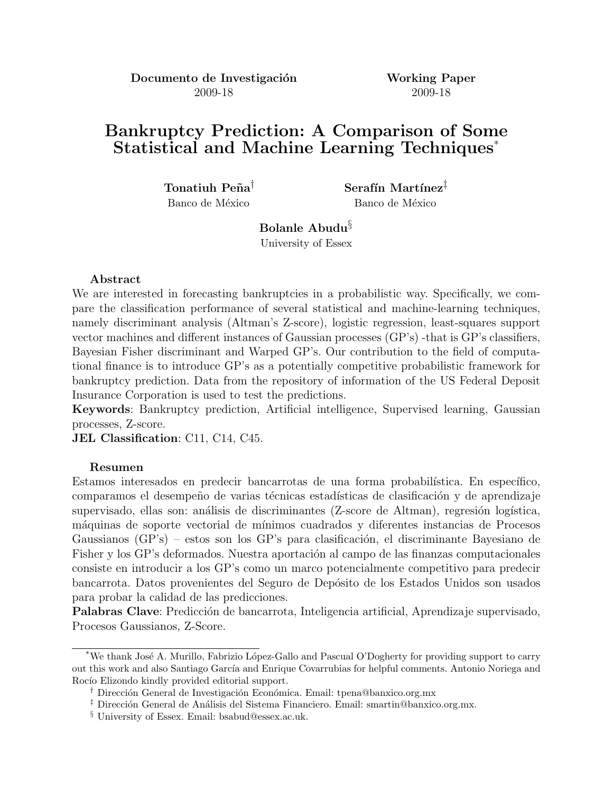Documento de Investigación Working Paper 2009-18 2009-18

# Bankruptcy Prediction: A Comparison of Some Statistical and Machine Learning Techniques<sup>\*</sup>

Tonatiuh Peña<sup>†</sup> Serafín Martínez<sup>‡</sup> Banco de México Banco de México

> Bolanle Abudu§ University of Essex

#### Abstract

We are interested in forecasting bankruptcies in a probabilistic way. Specifically, we compare the classification performance of several statistical and machine-learning techniques, namely discriminant analysis (Altman's Z-score), logistic regression, least-squares support vector machines and different instances of Gaussian processes (GP's) -that is GP's classifiers, Bayesian Fisher discriminant and Warped GP's. Our contribution to the field of computational finance is to introduce GP's as a potentially competitive probabilistic framework for bankruptcy prediction. Data from the repository of information of the US Federal Deposit Insurance Corporation is used to test the predictions.

Keywords: Bankruptcy prediction, Artificial intelligence, Supervised learning, Gaussian processes, Z-score.

JEL Classification: C11, C14, C45.

#### Resumen

Estamos interesados en predecir bancarrotas de una forma probabilística. En específico, comparamos el desempeño de varias técnicas estadísticas de clasificación y de aprendizaje supervisado, ellas son: análisis de discriminantes (Z-score de Altman), regresión logística, m´aquinas de soporte vectorial de m´ınimos cuadrados y diferentes instancias de Procesos Gaussianos (GP's) – estos son los GP's para clasificación, el discriminante Bayesiano de Fisher y los GP's deformados. Nuestra aportación al campo de las finanzas computacionales consiste en introducir a los GP's como un marco potencialmente competitivo para predecir bancarrota. Datos provenientes del Seguro de Dep´osito de los Estados Unidos son usados para probar la calidad de las predicciones.

Palabras Clave: Predicción de bancarrota, Inteligencia artificial, Aprendizaje supervisado, Procesos Gaussianos, Z-Score.

<sup>\*</sup>We thank Jos´e A. Murillo, Fabrizio L´opez-Gallo and Pascual O'Dogherty for providing support to carry out this work and also Santiago García and Enrique Covarrubias for helpful comments. Antonio Noriega and Rocio Elizondo kindly provided editorial support.

<sup>&</sup>lt;sup>†</sup> Dirección General de Investigación Económica. Email: tpena@banxico.org.mx

<sup>&</sup>lt;sup>‡</sup> Dirección General de Análisis del Sistema Financiero. Email: smartin@banxico.org.mx.

<sup>§</sup> University of Essex. Email: bsabud@essex.ac.uk.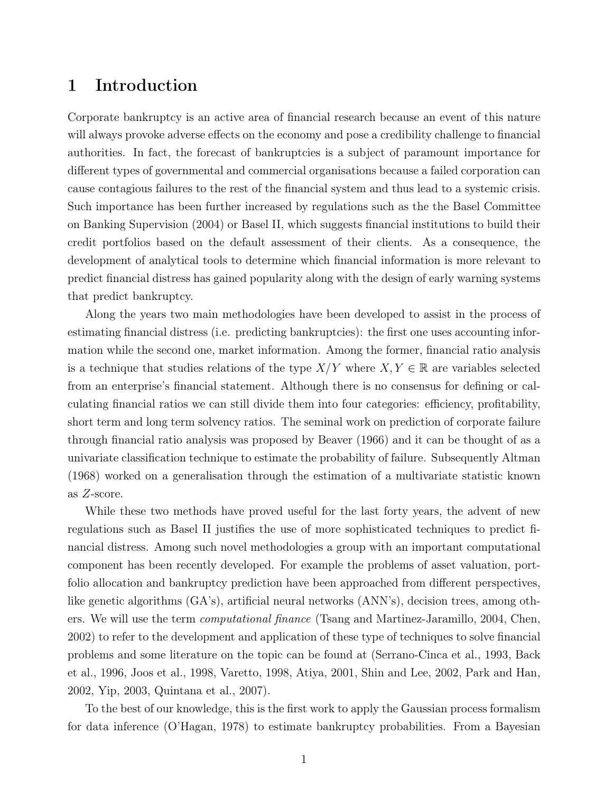## 1 Introduction

Corporate bankruptcy is an active area of financial research because an event of this nature will always provoke adverse effects on the economy and pose a credibility challenge to financial authorities. In fact, the forecast of bankruptcies is a subject of paramount importance for different types of governmental and commercial organisations because a failed corporation can cause contagious failures to the rest of the financial system and thus lead to a systemic crisis. Such importance has been further increased by regulations such as the the Basel Committee on Banking Supervision (2004) or Basel II, which suggests financial institutions to build their credit portfolios based on the default assessment of their clients. As a consequence, the development of analytical tools to determine which financial information is more relevant to predict financial distress has gained popularity along with the design of early warning systems that predict bankruptcy.

Along the years two main methodologies have been developed to assist in the process of estimating financial distress (i.e. predicting bankruptcies): the first one uses accounting information while the second one, market information. Among the former, financial ratio analysis is a technique that studies relations of the type  $X/Y$  where  $X, Y \in \mathbb{R}$  are variables selected from an enterprise's financial statement. Although there is no consensus for defining or calculating financial ratios we can still divide them into four categories: efficiency, profitability, short term and long term solvency ratios. The seminal work on prediction of corporate failure through financial ratio analysis was proposed by Beaver (1966) and it can be thought of as a univariate classification technique to estimate the probability of failure. Subsequently Altman (1968) worked on a generalisation through the estimation of a multivariate statistic known as Z-score.

While these two methods have proved useful for the last forty years, the advent of new regulations such as Basel II justifies the use of more sophisticated techniques to predict financial distress. Among such novel methodologies a group with an important computational component has been recently developed. For example the problems of asset valuation, portfolio allocation and bankruptcy prediction have been approached from different perspectives, like genetic algorithms (GA's), artificial neural networks (ANN's), decision trees, among others. We will use the term computational finance (Tsang and Martinez-Jaramillo, 2004, Chen, 2002) to refer to the development and application of these type of techniques to solve financial problems and some literature on the topic can be found at (Serrano-Cinca et al., 1993, Back et al., 1996, Joos et al., 1998, Varetto, 1998, Atiya, 2001, Shin and Lee, 2002, Park and Han, 2002, Yip, 2003, Quintana et al., 2007).

To the best of our knowledge, this is the first work to apply the Gaussian process formalism for data inference (O'Hagan, 1978) to estimate bankruptcy probabilities. From a Bayesian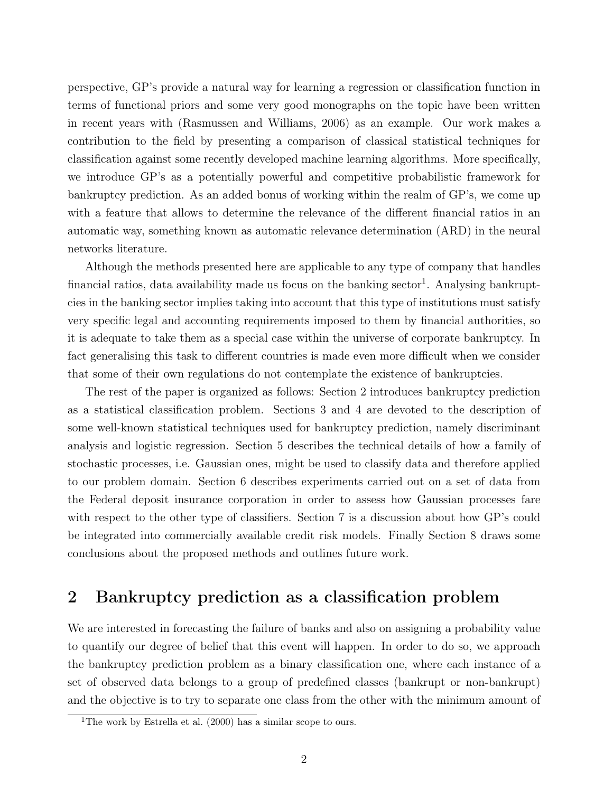perspective, GP's provide a natural way for learning a regression or classification function in terms of functional priors and some very good monographs on the topic have been written in recent years with (Rasmussen and Williams, 2006) as an example. Our work makes a contribution to the field by presenting a comparison of classical statistical techniques for classification against some recently developed machine learning algorithms. More specifically, we introduce GP's as a potentially powerful and competitive probabilistic framework for bankruptcy prediction. As an added bonus of working within the realm of GP's, we come up with a feature that allows to determine the relevance of the different financial ratios in an automatic way, something known as automatic relevance determination (ARD) in the neural networks literature.

Although the methods presented here are applicable to any type of company that handles financial ratios, data availability made us focus on the banking sector<sup>1</sup>. Analysing bankruptcies in the banking sector implies taking into account that this type of institutions must satisfy very specific legal and accounting requirements imposed to them by financial authorities, so it is adequate to take them as a special case within the universe of corporate bankruptcy. In fact generalising this task to different countries is made even more difficult when we consider that some of their own regulations do not contemplate the existence of bankruptcies.

The rest of the paper is organized as follows: Section 2 introduces bankruptcy prediction as a statistical classification problem. Sections 3 and 4 are devoted to the description of some well-known statistical techniques used for bankruptcy prediction, namely discriminant analysis and logistic regression. Section 5 describes the technical details of how a family of stochastic processes, i.e. Gaussian ones, might be used to classify data and therefore applied to our problem domain. Section 6 describes experiments carried out on a set of data from the Federal deposit insurance corporation in order to assess how Gaussian processes fare with respect to the other type of classifiers. Section 7 is a discussion about how GP's could be integrated into commercially available credit risk models. Finally Section 8 draws some conclusions about the proposed methods and outlines future work.

# 2 Bankruptcy prediction as a classification problem

We are interested in forecasting the failure of banks and also on assigning a probability value to quantify our degree of belief that this event will happen. In order to do so, we approach the bankruptcy prediction problem as a binary classification one, where each instance of a set of observed data belongs to a group of predefined classes (bankrupt or non-bankrupt) and the objective is to try to separate one class from the other with the minimum amount of

<sup>&</sup>lt;sup>1</sup>The work by Estrella et al.  $(2000)$  has a similar scope to ours.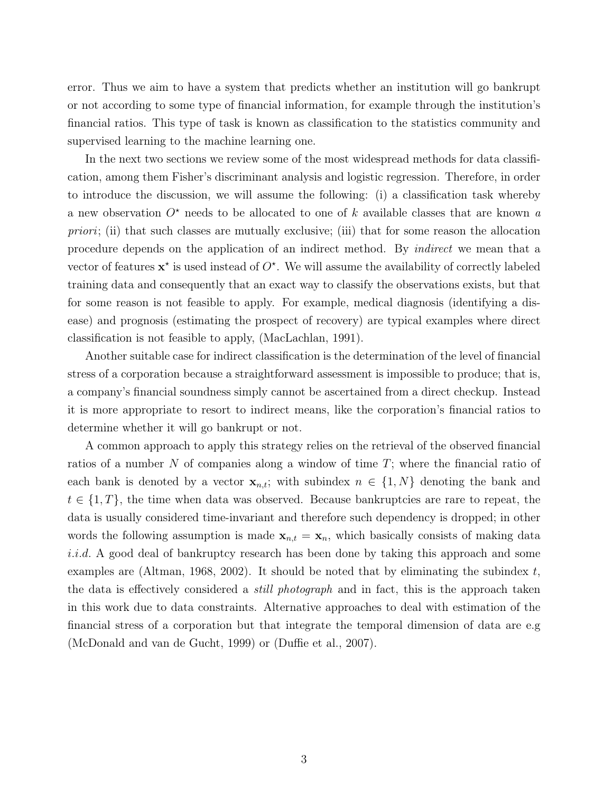error. Thus we aim to have a system that predicts whether an institution will go bankrupt or not according to some type of financial information, for example through the institution's financial ratios. This type of task is known as classification to the statistics community and supervised learning to the machine learning one.

In the next two sections we review some of the most widespread methods for data classification, among them Fisher's discriminant analysis and logistic regression. Therefore, in order to introduce the discussion, we will assume the following: (i) a classification task whereby a new observation  $O^*$  needs to be allocated to one of k available classes that are known a priori; (ii) that such classes are mutually exclusive; (iii) that for some reason the allocation procedure depends on the application of an indirect method. By *indirect* we mean that a vector of features  $x^*$  is used instead of  $O^*$ . We will assume the availability of correctly labeled training data and consequently that an exact way to classify the observations exists, but that for some reason is not feasible to apply. For example, medical diagnosis (identifying a disease) and prognosis (estimating the prospect of recovery) are typical examples where direct classification is not feasible to apply, (MacLachlan, 1991).

Another suitable case for indirect classification is the determination of the level of financial stress of a corporation because a straightforward assessment is impossible to produce; that is, a company's financial soundness simply cannot be ascertained from a direct checkup. Instead it is more appropriate to resort to indirect means, like the corporation's financial ratios to determine whether it will go bankrupt or not.

A common approach to apply this strategy relies on the retrieval of the observed financial ratios of a number N of companies along a window of time  $T$ ; where the financial ratio of each bank is denoted by a vector  $\mathbf{x}_{n,t}$ ; with subindex  $n \in \{1, N\}$  denoting the bank and  $t \in \{1, T\}$ , the time when data was observed. Because bankruptcies are rare to repeat, the data is usually considered time-invariant and therefore such dependency is dropped; in other words the following assumption is made  $\mathbf{x}_{n,t} = \mathbf{x}_n$ , which basically consists of making data *i.i.d.* A good deal of bankruptcy research has been done by taking this approach and some examples are (Altman, 1968, 2002). It should be noted that by eliminating the subindex  $t$ , the data is effectively considered a *still photograph* and in fact, this is the approach taken in this work due to data constraints. Alternative approaches to deal with estimation of the financial stress of a corporation but that integrate the temporal dimension of data are e.g (McDonald and van de Gucht, 1999) or (Duffie et al., 2007).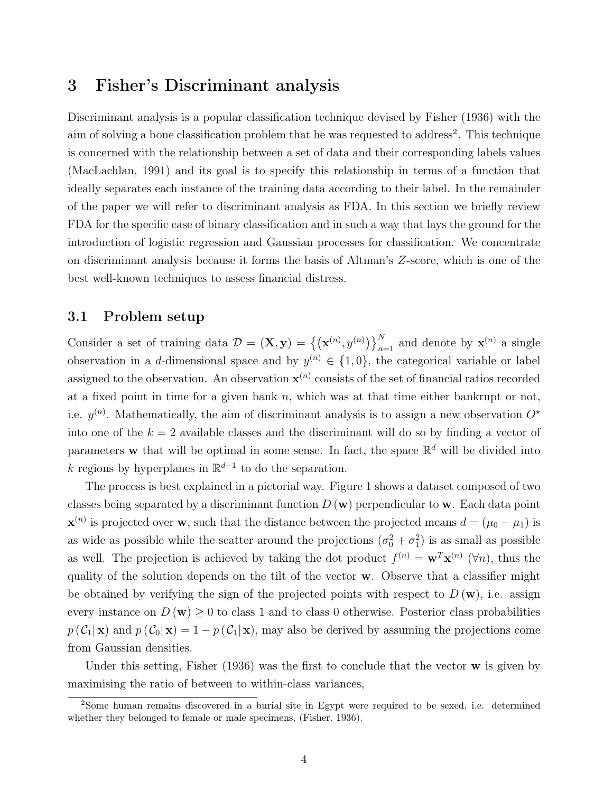## 3 Fisher's Discriminant analysis

Discriminant analysis is a popular classification technique devised by Fisher (1936) with the aim of solving a bone classification problem that he was requested to address<sup>2</sup>. This technique is concerned with the relationship between a set of data and their corresponding labels values (MacLachlan, 1991) and its goal is to specify this relationship in terms of a function that ideally separates each instance of the training data according to their label. In the remainder of the paper we will refer to discriminant analysis as FDA. In this section we briefly review FDA for the specific case of binary classification and in such a way that lays the ground for the introduction of logistic regression and Gaussian processes for classification. We concentrate on discriminant analysis because it forms the basis of Altman's Z-score, which is one of the best well-known techniques to assess financial distress.

### 3.1 Problem setup

Consider a set of training data  $\mathcal{D} = (\mathbf{X}, \mathbf{y}) = \{(\mathbf{x}^{(n)}, y^{(n)})\}_{n=1}^N$  and denote by  $\mathbf{x}^{(n)}$  a single observation in a d-dimensional space and by  $y^{(n)} \in \{1,0\}$ , the categorical variable or label assigned to the observation. An observation  $\mathbf{x}^{(n)}$  consists of the set of financial ratios recorded at a fixed point in time for a given bank  $n$ , which was at that time either bankrupt or not, i.e.  $y^{(n)}$ . Mathematically, the aim of discriminant analysis is to assign a new observation  $O^*$ into one of the  $k = 2$  available classes and the discriminant will do so by finding a vector of parameters **w** that will be optimal in some sense. In fact, the space  $\mathbb{R}^d$  will be divided into k regions by hyperplanes in  $\mathbb{R}^{d-1}$  to do the separation.

The process is best explained in a pictorial way. Figure 1 shows a dataset composed of two classes being separated by a discriminant function  $D(\mathbf{w})$  perpendicular to w. Each data point  $\mathbf{x}^{(n)}$  is projected over w, such that the distance between the projected means  $d = (\mu_0 - \mu_1)$  is as wide as possible while the scatter around the projections  $(\sigma_0^2 + \sigma_1^2)$  is as small as possible as well. The projection is achieved by taking the dot product  $f^{(n)} = \mathbf{w}^T \mathbf{x}^{(n)}$  ( $\forall n$ ), thus the quality of the solution depends on the tilt of the vector w. Observe that a classifier might be obtained by verifying the sign of the projected points with respect to  $D(\mathbf{w})$ , i.e. assign every instance on  $D(\mathbf{w}) \geq 0$  to class 1 and to class 0 otherwise. Posterior class probabilities  $p(\mathcal{C}_1|\mathbf{x})$  and  $p(\mathcal{C}_0|\mathbf{x}) = 1 - p(\mathcal{C}_1|\mathbf{x})$ , may also be derived by assuming the projections come from Gaussian densities.

Under this setting, Fisher (1936) was the first to conclude that the vector w is given by maximising the ratio of between to within-class variances,

<sup>2</sup>Some human remains discovered in a burial site in Egypt were required to be sexed, i.e. determined whether they belonged to female or male specimens, (Fisher, 1936).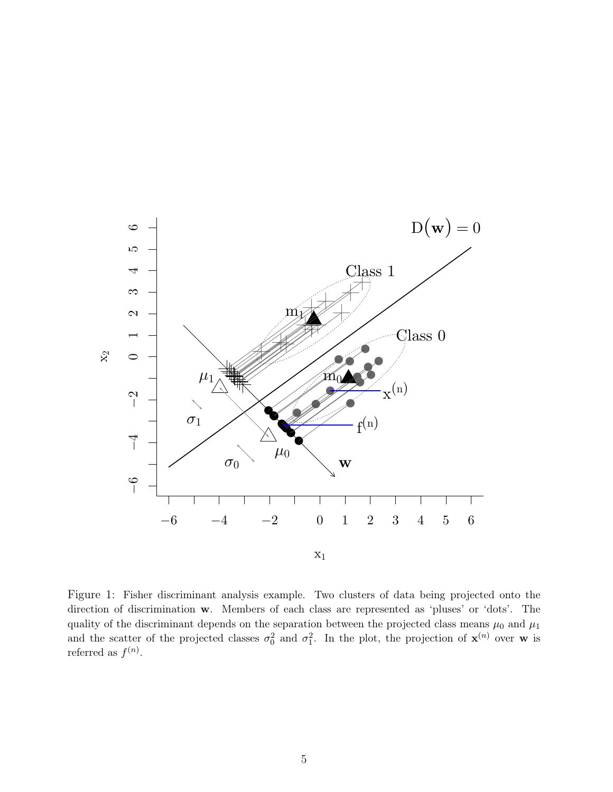

Figure 1: Fisher discriminant analysis example. Two clusters of data being projected onto the direction of discrimination w. Members of each class are represented as 'pluses' or 'dots'. The quality of the discriminant depends on the separation between the projected class means  $\mu_0$  and  $\mu_1$ and the scatter of the projected classes  $\sigma_0^2$  and  $\sigma_1^2$ . In the plot, the projection of  $\mathbf{x}^{(n)}$  over w is referred as  $f^{(n)}$ .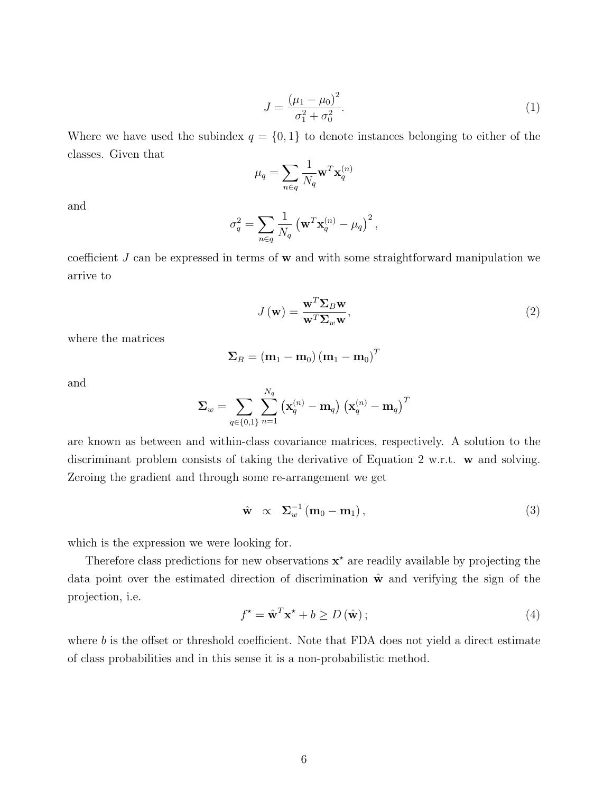$$
J = \frac{(\mu_1 - \mu_0)^2}{\sigma_1^2 + \sigma_0^2}.
$$
 (1)

Where we have used the subindex  $q = \{0, 1\}$  to denote instances belonging to either of the classes. Given that

$$
\mu_q = \sum_{n \in q} \frac{1}{N_q} \mathbf{w}^T \mathbf{x}_q^{(n)}
$$

and

$$
\sigma_q^2 = \sum_{n \in q} \frac{1}{N_q} \left( \mathbf{w}^T \mathbf{x}_q^{(n)} - \mu_q \right)^2,
$$

coefficient J can be expressed in terms of w and with some straightforward manipulation we arrive to

$$
J(\mathbf{w}) = \frac{\mathbf{w}^T \Sigma_B \mathbf{w}}{\mathbf{w}^T \Sigma_w \mathbf{w}},
$$
\n(2)

where the matrices

$$
\Sigma_B = (\mathbf{m}_1 - \mathbf{m}_0) (\mathbf{m}_1 - \mathbf{m}_0)^T
$$

and

$$
\boldsymbol{\Sigma}_{w}=\sum_{q\in\{0,1\}}\sum_{n=1}^{N_{q}}\left(\mathbf{x}_{q}^{(n)}-\mathbf{m}_{q}\right)\left(\mathbf{x}_{q}^{(n)}-\mathbf{m}_{q}\right)^{T}
$$

are known as between and within-class covariance matrices, respectively. A solution to the discriminant problem consists of taking the derivative of Equation 2 w.r.t. w and solving. Zeroing the gradient and through some re-arrangement we get

$$
\hat{\mathbf{w}} \quad \propto \quad \Sigma_{w}^{-1} \left( \mathbf{m}_0 - \mathbf{m}_1 \right), \tag{3}
$$

which is the expression we were looking for.

Therefore class predictions for new observations  $x^*$  are readily available by projecting the data point over the estimated direction of discrimination  $\hat{\mathbf{w}}$  and verifying the sign of the projection, i.e.

$$
f^* = \hat{\mathbf{w}}^T \mathbf{x}^* + b \ge D(\hat{\mathbf{w}}); \tag{4}
$$

where  $b$  is the offset or threshold coefficient. Note that FDA does not yield a direct estimate of class probabilities and in this sense it is a non-probabilistic method.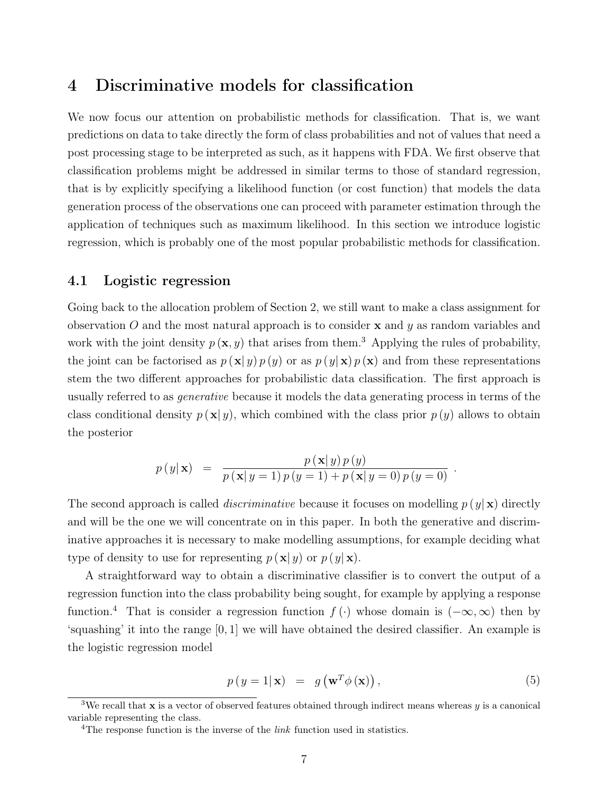## 4 Discriminative models for classification

We now focus our attention on probabilistic methods for classification. That is, we want predictions on data to take directly the form of class probabilities and not of values that need a post processing stage to be interpreted as such, as it happens with FDA. We first observe that classification problems might be addressed in similar terms to those of standard regression, that is by explicitly specifying a likelihood function (or cost function) that models the data generation process of the observations one can proceed with parameter estimation through the application of techniques such as maximum likelihood. In this section we introduce logistic regression, which is probably one of the most popular probabilistic methods for classification.

### 4.1 Logistic regression

Going back to the allocation problem of Section 2, we still want to make a class assignment for observation  $O$  and the most natural approach is to consider  $x$  and  $y$  as random variables and work with the joint density  $p(x, y)$  that arises from them.<sup>3</sup> Applying the rules of probability, the joint can be factorised as  $p(x|y)p(y)$  or as  $p(y|x)p(x)$  and from these representations stem the two different approaches for probabilistic data classification. The first approach is usually referred to as generative because it models the data generating process in terms of the class conditional density  $p(\mathbf{x}|y)$ , which combined with the class prior  $p(y)$  allows to obtain the posterior

$$
p(y|\mathbf{x}) = \frac{p(\mathbf{x}|y) p(y)}{p(\mathbf{x}|y=1) p(y=1) + p(\mathbf{x}|y=0) p(y=0)}.
$$

The second approach is called *discriminative* because it focuses on modelling  $p(y|\mathbf{x})$  directly and will be the one we will concentrate on in this paper. In both the generative and discriminative approaches it is necessary to make modelling assumptions, for example deciding what type of density to use for representing  $p(\mathbf{x}|y)$  or  $p(y|\mathbf{x})$ .

A straightforward way to obtain a discriminative classifier is to convert the output of a regression function into the class probability being sought, for example by applying a response function.<sup>4</sup> That is consider a regression function  $f(\cdot)$  whose domain is  $(-\infty,\infty)$  then by 'squashing' it into the range [0, 1] we will have obtained the desired classifier. An example is the logistic regression model

$$
p(y = 1|\mathbf{x}) = g(\mathbf{w}^T \phi(\mathbf{x})), \qquad (5)
$$

<sup>&</sup>lt;sup>3</sup>We recall that **x** is a vector of observed features obtained through indirect means whereas  $y$  is a canonical variable representing the class.

<sup>&</sup>lt;sup>4</sup>The response function is the inverse of the *link* function used in statistics.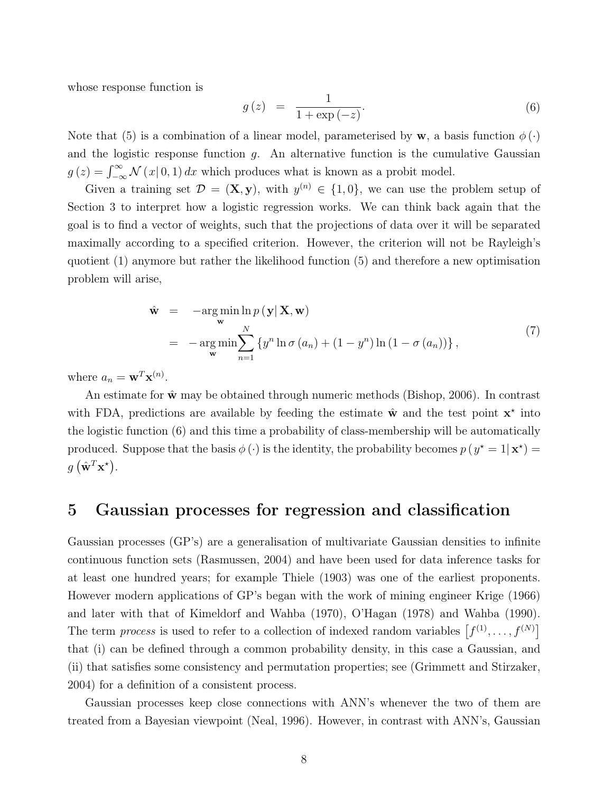whose response function is

$$
g(z) = \frac{1}{1 + \exp(-z)}.
$$
 (6)

Note that (5) is a combination of a linear model, parameterised by  $\bf{w}$ , a basis function  $\phi(\cdot)$ and the logistic response function  $g$ . An alternative function is the cumulative Gaussian  $g(z) = \int_{-\infty}^{\infty} \mathcal{N}(x|0,1) dx$  which produces what is known as a probit model.

Given a training set  $\mathcal{D} = (\mathbf{X}, \mathbf{y})$ , with  $y^{(n)} \in \{1, 0\}$ , we can use the problem setup of Section 3 to interpret how a logistic regression works. We can think back again that the goal is to find a vector of weights, such that the projections of data over it will be separated maximally according to a specified criterion. However, the criterion will not be Rayleigh's quotient (1) anymore but rather the likelihood function (5) and therefore a new optimisation problem will arise,

$$
\hat{\mathbf{w}} = -\underset{\mathbf{w}}{-\arg\min} \ln p(\mathbf{y}|\mathbf{X}, \mathbf{w})
$$
\n
$$
= -\underset{\mathbf{w}}{\arg\min} \sum_{n=1}^{N} \left\{ y^n \ln \sigma(a_n) + (1 - y^n) \ln (1 - \sigma(a_n)) \right\},\tag{7}
$$

where  $a_n = \mathbf{w}^T \mathbf{x}^{(n)}$ .

An estimate for  $\hat{\mathbf{w}}$  may be obtained through numeric methods (Bishop, 2006). In contrast with FDA, predictions are available by feeding the estimate  $\hat{\mathbf{w}}$  and the test point  $\mathbf{x}^*$  into the logistic function (6) and this time a probability of class-membership will be automatically produced. Suppose that the basis  $\phi(\cdot)$  is the identity, the probability becomes  $p(y^* = 1 | \mathbf{x}^*) =$  $g\left(\hat{\mathbf{w}}^T\mathbf{x}^{\star}\right)$ .

## 5 Gaussian processes for regression and classification

Gaussian processes (GP's) are a generalisation of multivariate Gaussian densities to infinite continuous function sets (Rasmussen, 2004) and have been used for data inference tasks for at least one hundred years; for example Thiele (1903) was one of the earliest proponents. However modern applications of GP's began with the work of mining engineer Krige (1966) and later with that of Kimeldorf and Wahba (1970), O'Hagan (1978) and Wahba (1990). The term process is used to refer to a collection of indexed random variables  $[f^{(1)},...,f^{(N)}]$ that (i) can be defined through a common probability density, in this case a Gaussian, and (ii) that satisfies some consistency and permutation properties; see (Grimmett and Stirzaker, 2004) for a definition of a consistent process.

Gaussian processes keep close connections with ANN's whenever the two of them are treated from a Bayesian viewpoint (Neal, 1996). However, in contrast with ANN's, Gaussian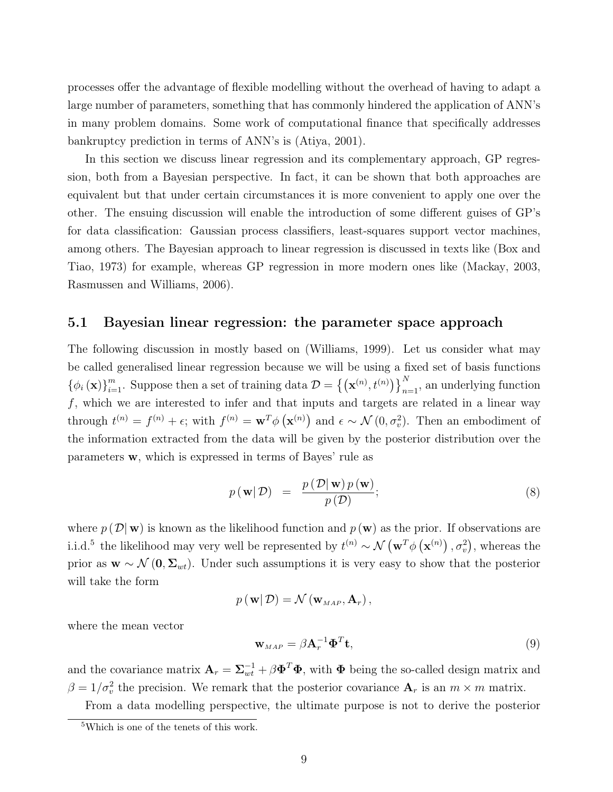processes offer the advantage of flexible modelling without the overhead of having to adapt a large number of parameters, something that has commonly hindered the application of ANN's in many problem domains. Some work of computational finance that specifically addresses bankruptcy prediction in terms of ANN's is (Atiya, 2001).

In this section we discuss linear regression and its complementary approach, GP regression, both from a Bayesian perspective. In fact, it can be shown that both approaches are equivalent but that under certain circumstances it is more convenient to apply one over the other. The ensuing discussion will enable the introduction of some different guises of GP's for data classification: Gaussian process classifiers, least-squares support vector machines, among others. The Bayesian approach to linear regression is discussed in texts like (Box and Tiao, 1973) for example, whereas GP regression in more modern ones like (Mackay, 2003, Rasmussen and Williams, 2006).

### 5.1 Bayesian linear regression: the parameter space approach

The following discussion in mostly based on (Williams, 1999). Let us consider what may be called generalised linear regression because we will be using a fixed set of basis functions  ${\{\phi_i(\mathbf{x})\}}_{i=1}^m$ . Suppose then a set of training data  $\mathcal{D} = {\{\{\mathbf{x}^{(n)}, t^{(n)}\}}\}_{n=1}^N$ , an underlying function  $f$ , which we are interested to infer and that inputs and targets are related in a linear way through  $t^{(n)} = f^{(n)} + \epsilon$ ; with  $f^{(n)} = \mathbf{w}^T \phi\left(\mathbf{x}^{(n)}\right)$  and  $\epsilon \sim \mathcal{N}(0, \sigma_v^2)$ . Then an embodiment of the information extracted from the data will be given by the posterior distribution over the parameters w, which is expressed in terms of Bayes' rule as

$$
p(\mathbf{w}|\mathcal{D}) = \frac{p(\mathcal{D}|\mathbf{w})p(\mathbf{w})}{p(\mathcal{D})};
$$
\n(8)

where  $p(\mathcal{D}|\mathbf{w})$  is known as the likelihood function and  $p(\mathbf{w})$  as the prior. If observations are i.i.d.<sup>5</sup> the likelihood may very well be represented by  $t^{(n)} \sim \mathcal{N}\left(\mathbf{w}^T\phi\left(\mathbf{x}^{(n)}\right), \sigma_v^2\right)$ , whereas the prior as  $\mathbf{w} \sim \mathcal{N}(\mathbf{0}, \Sigma_{wt})$ . Under such assumptions it is very easy to show that the posterior will take the form

$$
p\left(\left.{\bf w}\right|{\cal D}\right)={\cal N}\left(\mathbf{w}_{_{MAP}},\mathbf{A}_{r}\right),
$$

where the mean vector

$$
\mathbf{w}_{\scriptscriptstyle MAP} = \beta \mathbf{A}_r^{-1} \mathbf{\Phi}^T \mathbf{t},\tag{9}
$$

and the covariance matrix  $\mathbf{A}_r = \Sigma_{wt}^{-1} + \beta \mathbf{\Phi}^T \mathbf{\Phi}$ , with  $\mathbf{\Phi}$  being the so-called design matrix and  $\beta = 1/\sigma_v^2$  the precision. We remark that the posterior covariance  $\mathbf{A}_r$  is an  $m \times m$  matrix.

From a data modelling perspective, the ultimate purpose is not to derive the posterior

<sup>5</sup>Which is one of the tenets of this work.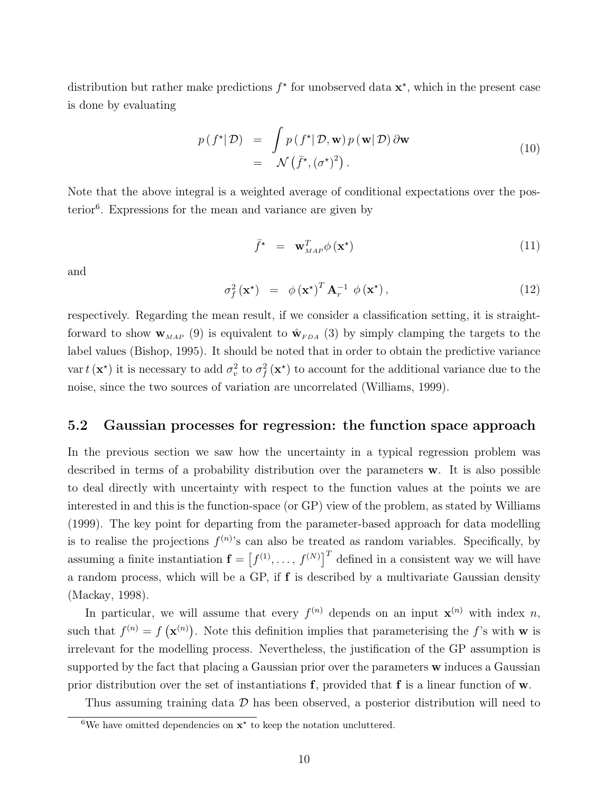distribution but rather make predictions  $f^*$  for unobserved data  $\mathbf{x}^*$ , which in the present case is done by evaluating

$$
p(f^{\star}|\mathcal{D}) = \int p(f^{\star}|\mathcal{D}, \mathbf{w}) p(\mathbf{w}|\mathcal{D}) \partial \mathbf{w}
$$
  
=  $\mathcal{N}(\bar{f}^{\star}, (\sigma^{\star})^2).$  (10)

Note that the above integral is a weighted average of conditional expectations over the posterior<sup>6</sup>. Expressions for the mean and variance are given by

$$
\bar{f}^{\star} = \mathbf{w}_{MAP}^{T} \phi\left(\mathbf{x}^{\star}\right) \tag{11}
$$

and

$$
\sigma_f^2(\mathbf{x}^*) = \phi(\mathbf{x}^*)^T \mathbf{A}_r^{-1} \phi(\mathbf{x}^*), \qquad (12)
$$

respectively. Regarding the mean result, if we consider a classification setting, it is straightforward to show  $\mathbf{w}_{MAP}$  (9) is equivalent to  $\hat{\mathbf{w}}_{FDA}$  (3) by simply clamping the targets to the label values (Bishop, 1995). It should be noted that in order to obtain the predictive variance var  $t(\mathbf{x}^*)$  it is necessary to add  $\sigma_v^2$  to  $\sigma_f^2(\mathbf{x}^*)$  to account for the additional variance due to the noise, since the two sources of variation are uncorrelated (Williams, 1999).

### 5.2 Gaussian processes for regression: the function space approach

In the previous section we saw how the uncertainty in a typical regression problem was described in terms of a probability distribution over the parameters  $\bf{w}$ . It is also possible to deal directly with uncertainty with respect to the function values at the points we are interested in and this is the function-space (or GP) view of the problem, as stated by Williams (1999). The key point for departing from the parameter-based approach for data modelling is to realise the projections  $f^{(n)}$ 's can also be treated as random variables. Specifically, by assuming a finite instantiation  $\mathbf{f} = \left[f^{(1)},\ldots,f^{(N)}\right]^T$  defined in a consistent way we will have a random process, which will be a GP, if f is described by a multivariate Gaussian density (Mackay, 1998).

In particular, we will assume that every  $f^{(n)}$  depends on an input  $\mathbf{x}^{(n)}$  with index n, such that  $f^{(n)} = f(\mathbf{x}^{(n)})$ . Note this definition implies that parameterising the f's with w is irrelevant for the modelling process. Nevertheless, the justification of the GP assumption is supported by the fact that placing a Gaussian prior over the parameters w induces a Gaussian prior distribution over the set of instantiations  $f$ , provided that  $f$  is a linear function of  $w$ .

Thus assuming training data  $\mathcal D$  has been observed, a posterior distribution will need to

<sup>&</sup>lt;sup>6</sup>We have omitted dependencies on  $x^*$  to keep the notation uncluttered.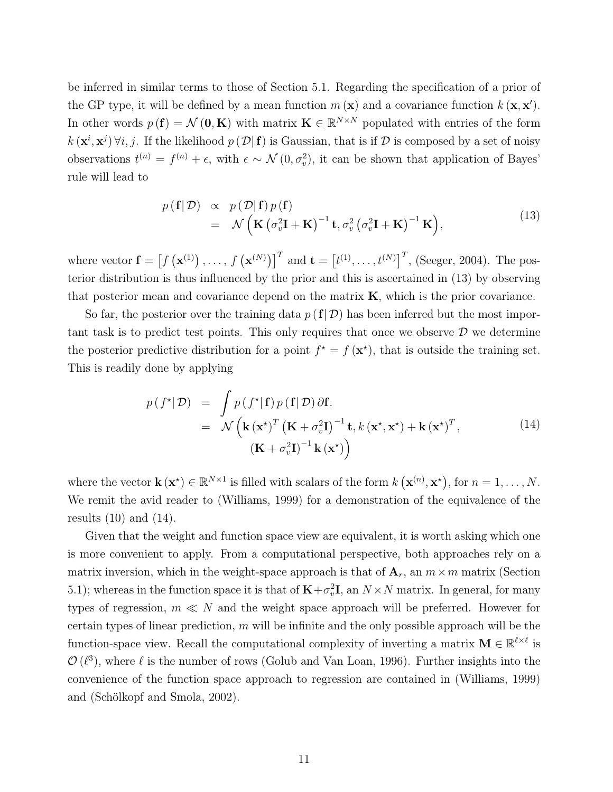be inferred in similar terms to those of Section 5.1. Regarding the specification of a prior of the GP type, it will be defined by a mean function  $m(\mathbf{x})$  and a covariance function  $k(\mathbf{x}, \mathbf{x}')$ . In other words  $p(f) = \mathcal{N}(\mathbf{0}, \mathbf{K})$  with matrix  $\mathbf{K} \in \mathbb{R}^{N \times N}$  populated with entries of the form  $k(\mathbf{x}^i, \mathbf{x}^j)$   $\forall i, j$ . If the likelihood  $p(\mathcal{D}|\mathbf{f})$  is Gaussian, that is if  $\mathcal D$  is composed by a set of noisy observations  $t^{(n)} = f^{(n)} + \epsilon$ , with  $\epsilon \sim \mathcal{N}(0, \sigma_v^2)$ , it can be shown that application of Bayes' rule will lead to

$$
p(\mathbf{f}|\mathcal{D}) \propto p(\mathcal{D}|\mathbf{f})p(\mathbf{f}) = \mathcal{N} (\mathbf{K} (\sigma_v^2 \mathbf{I} + \mathbf{K})^{-1} \mathbf{t}, \sigma_v^2 (\sigma_v^2 \mathbf{I} + \mathbf{K})^{-1} \mathbf{K}),
$$
(13)

where vector  $\mathbf{f} = \left[f\left(\mathbf{x}^{(1)}\right), \ldots, f\left(\mathbf{x}^{(N)}\right)\right]^T$  and  $\mathbf{t} = \left[t^{(1)}, \ldots, t^{(N)}\right]^T$ , (Seeger, 2004). The posterior distribution is thus influenced by the prior and this is ascertained in (13) by observing that posterior mean and covariance depend on the matrix  $K$ , which is the prior covariance.

So far, the posterior over the training data  $p(f|\mathcal{D})$  has been inferred but the most important task is to predict test points. This only requires that once we observe  $\mathcal D$  we determine the posterior predictive distribution for a point  $f^* = f(\mathbf{x}^*)$ , that is outside the training set. This is readily done by applying

$$
p(f^*|\mathcal{D}) = \int p(f^*|\mathbf{f}) p(\mathbf{f}|\mathcal{D}) \partial \mathbf{f}.
$$
  
=  $\mathcal{N}\left(\mathbf{k}(\mathbf{x}^*)^T (\mathbf{K} + \sigma_v^2 \mathbf{I})^{-1} \mathbf{t}, k (\mathbf{x}^*, \mathbf{x}^*) + \mathbf{k} (\mathbf{x}^*)^T, \left(\mathbf{K} + \sigma_v^2 \mathbf{I}\right)^{-1} \mathbf{k} (\mathbf{x}^*)\right)$  (14)

where the vector  $\mathbf{k}(\mathbf{x}^*) \in \mathbb{R}^{N \times 1}$  is filled with scalars of the form  $k(\mathbf{x}^{(n)}, \mathbf{x}^*)$ , for  $n = 1, ..., N$ . We remit the avid reader to (Williams, 1999) for a demonstration of the equivalence of the results (10) and (14).

Given that the weight and function space view are equivalent, it is worth asking which one is more convenient to apply. From a computational perspective, both approaches rely on a matrix inversion, which in the weight-space approach is that of  $\mathbf{A}_r$ , an  $m \times m$  matrix (Section 5.1); whereas in the function space it is that of  $\mathbf{K} + \sigma_v^2 \mathbf{I}$ , an  $N \times N$  matrix. In general, for many types of regression,  $m \ll N$  and the weight space approach will be preferred. However for certain types of linear prediction,  $m$  will be infinite and the only possible approach will be the function-space view. Recall the computational complexity of inverting a matrix  $\mathbf{M} \in \mathbb{R}^{\ell \times \ell}$  is  $\mathcal{O}(\ell^3)$ , where  $\ell$  is the number of rows (Golub and Van Loan, 1996). Further insights into the convenience of the function space approach to regression are contained in (Williams, 1999) and (Schölkopf and Smola, 2002).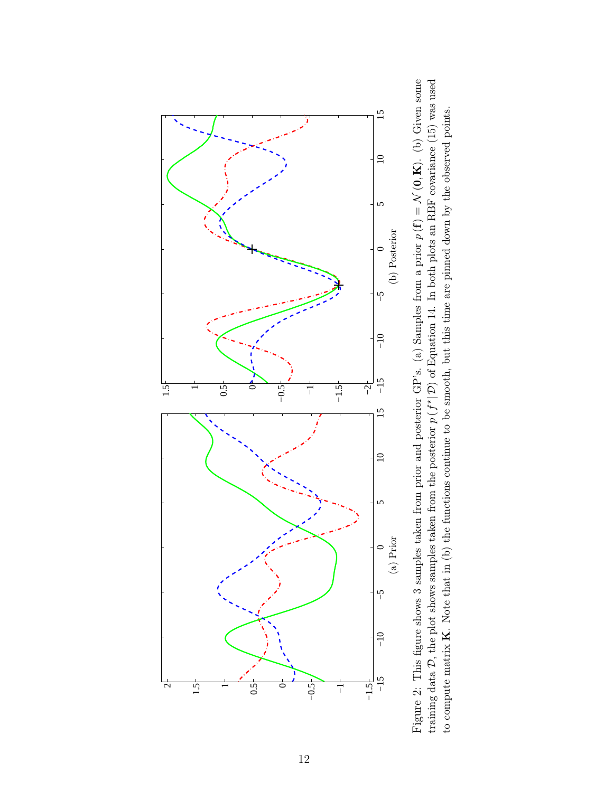

Figure 2: This figure shows 3 samples taken from prior and posterior GP's. (a) Samples from a prior  $p(f) = \mathcal{N}(0, K)$ . (b) Given some training data  $D$ , the plot shows samples taken from the posterior  $p(f^*|D)$  of Equation 14. In both plots an RBF covariance (15) was used Figure 2: This figure shows 3 samples taken from prior and posterior GP's. (a) Samples from a prior  $p(\mathbf{f}) = \mathcal{N}(\mathbf{0}, \mathbf{K})$ . (b) Given some some training data D, the plot shows samples taken from the posterior  $p(f^{\star} | \mathcal{D})$  of Equation 14. In both plots an RBF covariance (15) was used to compute matrix  $K$ . Note that in (b) the functions continue to be smooth, but this time are pinned down by the observed points. to compute matrix K. Note that in (b) the functions continue to be smooth, but this time are pinned down by the observed points.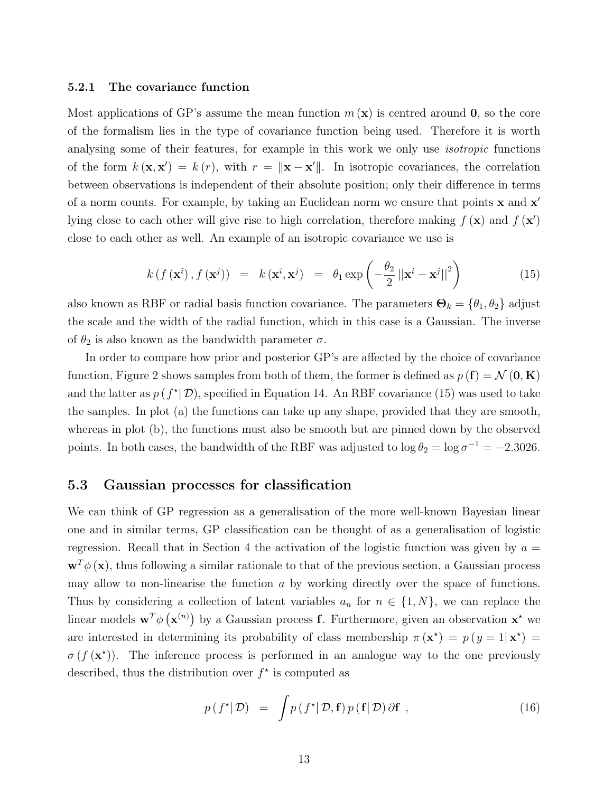#### 5.2.1 The covariance function

Most applications of GP's assume the mean function  $m(\mathbf{x})$  is centred around 0, so the core of the formalism lies in the type of covariance function being used. Therefore it is worth analysing some of their features, for example in this work we only use *isotropic* functions of the form  $k(\mathbf{x}, \mathbf{x}') = k(r)$ , with  $r = ||\mathbf{x} - \mathbf{x}'||$ . In isotropic covariances, the correlation between observations is independent of their absolute position; only their difference in terms of a norm counts. For example, by taking an Euclidean norm we ensure that points  $x$  and  $x'$ lying close to each other will give rise to high correlation, therefore making  $f(\mathbf{x})$  and  $f(\mathbf{x}')$ close to each other as well. An example of an isotropic covariance we use is

$$
k(f(\mathbf{x}^i), f(\mathbf{x}^j)) = k(\mathbf{x}^i, \mathbf{x}^j) = \theta_1 \exp\left(-\frac{\theta_2}{2}||\mathbf{x}^i - \mathbf{x}^j||^2\right)
$$
(15)

also known as RBF or radial basis function covariance. The parameters  $\Theta_k = {\theta_1, \theta_2}$  adjust the scale and the width of the radial function, which in this case is a Gaussian. The inverse of  $\theta_2$  is also known as the bandwidth parameter  $\sigma$ .

In order to compare how prior and posterior GP's are affected by the choice of covariance function, Figure 2 shows samples from both of them, the former is defined as  $p({\bf f}) = \mathcal{N}({\bf 0},{\bf K})$ and the latter as  $p(f^*|\mathcal{D})$ , specified in Equation 14. An RBF covariance (15) was used to take the samples. In plot (a) the functions can take up any shape, provided that they are smooth, whereas in plot (b), the functions must also be smooth but are pinned down by the observed points. In both cases, the bandwidth of the RBF was adjusted to  $\log \theta_2 = \log \sigma^{-1} = -2.3026$ .

## 5.3 Gaussian processes for classification

We can think of GP regression as a generalisation of the more well-known Bayesian linear one and in similar terms, GP classification can be thought of as a generalisation of logistic regression. Recall that in Section 4 the activation of the logistic function was given by  $a =$  $\mathbf{w}^T\phi(\mathbf{x})$ , thus following a similar rationale to that of the previous section, a Gaussian process may allow to non-linearise the function a by working directly over the space of functions. Thus by considering a collection of latent variables  $a_n$  for  $n \in \{1, N\}$ , we can replace the linear models  $\mathbf{w}^T\phi\left(\mathbf{x}^{(n)}\right)$  by a Gaussian process f. Furthermore, given an observation  $\mathbf{x}^*$  we are interested in determining its probability of class membership  $\pi(\mathbf{x}^*) = p(y = 1 | \mathbf{x}^*) =$  $\sigma(f(\mathbf{x}^*))$ . The inference process is performed in an analogue way to the one previously described, thus the distribution over  $f^*$  is computed as

$$
p(f^{\star}|\mathcal{D}) = \int p(f^{\star}|\mathcal{D}, \mathbf{f}) p(\mathbf{f}|\mathcal{D}) \partial \mathbf{f} , \qquad (16)
$$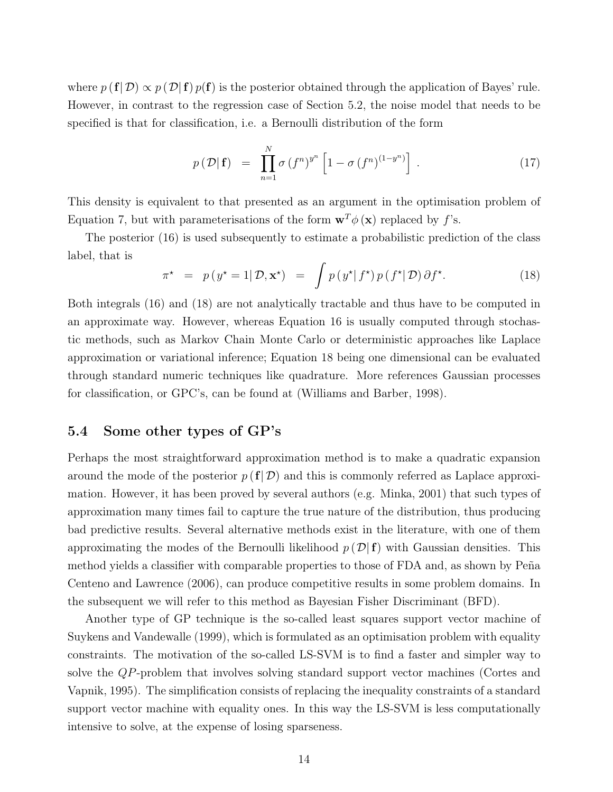where  $p(\mathbf{f}|\mathcal{D}) \propto p(\mathcal{D}|\mathbf{f}) p(\mathbf{f})$  is the posterior obtained through the application of Bayes' rule. However, in contrast to the regression case of Section 5.2, the noise model that needs to be specified is that for classification, i.e. a Bernoulli distribution of the form

$$
p\left(\mathcal{D}\right|\mathbf{f}) = \prod_{n=1}^{N} \sigma\left(f^{n}\right)^{y^{n}} \left[1 - \sigma\left(f^{n}\right)^{(1-y^{n})}\right]. \tag{17}
$$

This density is equivalent to that presented as an argument in the optimisation problem of Equation 7, but with parameterisations of the form  $\mathbf{w}^T \phi(\mathbf{x})$  replaced by f's.

The posterior (16) is used subsequently to estimate a probabilistic prediction of the class label, that is

$$
\pi^{\star} = p(y^{\star} = 1 | \mathcal{D}, \mathbf{x}^{\star}) = \int p(y^{\star} | f^{\star}) p(f^{\star} | \mathcal{D}) \partial f^{\star}.
$$
 (18)

Both integrals (16) and (18) are not analytically tractable and thus have to be computed in an approximate way. However, whereas Equation 16 is usually computed through stochastic methods, such as Markov Chain Monte Carlo or deterministic approaches like Laplace approximation or variational inference; Equation 18 being one dimensional can be evaluated through standard numeric techniques like quadrature. More references Gaussian processes for classification, or GPC's, can be found at (Williams and Barber, 1998).

## 5.4 Some other types of GP's

Perhaps the most straightforward approximation method is to make a quadratic expansion around the mode of the posterior  $p(\mathbf{f}|\mathcal{D})$  and this is commonly referred as Laplace approximation. However, it has been proved by several authors (e.g. Minka, 2001) that such types of approximation many times fail to capture the true nature of the distribution, thus producing bad predictive results. Several alternative methods exist in the literature, with one of them approximating the modes of the Bernoulli likelihood  $p(\mathcal{D}|f)$  with Gaussian densities. This method yields a classifier with comparable properties to those of FDA and, as shown by Peña Centeno and Lawrence (2006), can produce competitive results in some problem domains. In the subsequent we will refer to this method as Bayesian Fisher Discriminant (BFD).

Another type of GP technique is the so-called least squares support vector machine of Suykens and Vandewalle (1999), which is formulated as an optimisation problem with equality constraints. The motivation of the so-called LS-SVM is to find a faster and simpler way to solve the QP-problem that involves solving standard support vector machines (Cortes and Vapnik, 1995). The simplification consists of replacing the inequality constraints of a standard support vector machine with equality ones. In this way the LS-SVM is less computationally intensive to solve, at the expense of losing sparseness.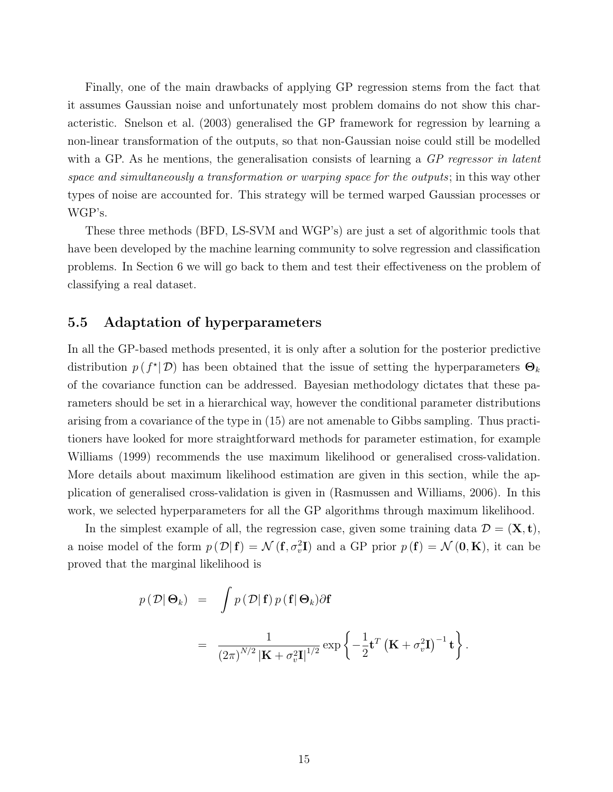Finally, one of the main drawbacks of applying GP regression stems from the fact that it assumes Gaussian noise and unfortunately most problem domains do not show this characteristic. Snelson et al. (2003) generalised the GP framework for regression by learning a non-linear transformation of the outputs, so that non-Gaussian noise could still be modelled with a GP. As he mentions, the generalisation consists of learning a GP regressor in latent space and simultaneously a transformation or warping space for the outputs; in this way other types of noise are accounted for. This strategy will be termed warped Gaussian processes or WGP's.

These three methods (BFD, LS-SVM and WGP's) are just a set of algorithmic tools that have been developed by the machine learning community to solve regression and classification problems. In Section 6 we will go back to them and test their effectiveness on the problem of classifying a real dataset.

### 5.5 Adaptation of hyperparameters

In all the GP-based methods presented, it is only after a solution for the posterior predictive distribution  $p(f^*|\mathcal{D})$  has been obtained that the issue of setting the hyperparameters  $\Theta_k$ of the covariance function can be addressed. Bayesian methodology dictates that these parameters should be set in a hierarchical way, however the conditional parameter distributions arising from a covariance of the type in (15) are not amenable to Gibbs sampling. Thus practitioners have looked for more straightforward methods for parameter estimation, for example Williams (1999) recommends the use maximum likelihood or generalised cross-validation. More details about maximum likelihood estimation are given in this section, while the application of generalised cross-validation is given in (Rasmussen and Williams, 2006). In this work, we selected hyperparameters for all the GP algorithms through maximum likelihood.

In the simplest example of all, the regression case, given some training data  $\mathcal{D} = (\mathbf{X}, \mathbf{t})$ , a noise model of the form  $p(\mathcal{D}|\mathbf{f}) = \mathcal{N}(\mathbf{f}, \sigma_v^2 \mathbf{I})$  and a GP prior  $p(\mathbf{f}) = \mathcal{N}(\mathbf{0}, \mathbf{K})$ , it can be proved that the marginal likelihood is

$$
p(\mathcal{D}|\Theta_k) = \int p(\mathcal{D}|\mathbf{f}) p(\mathbf{f}|\Theta_k) \partial \mathbf{f}
$$
  
= 
$$
\frac{1}{(2\pi)^{N/2} |\mathbf{K} + \sigma_v^2 \mathbf{I}|^{1/2}} \exp \left\{-\frac{1}{2} \mathbf{t}^T (\mathbf{K} + \sigma_v^2 \mathbf{I})^{-1} \mathbf{t}\right\}.
$$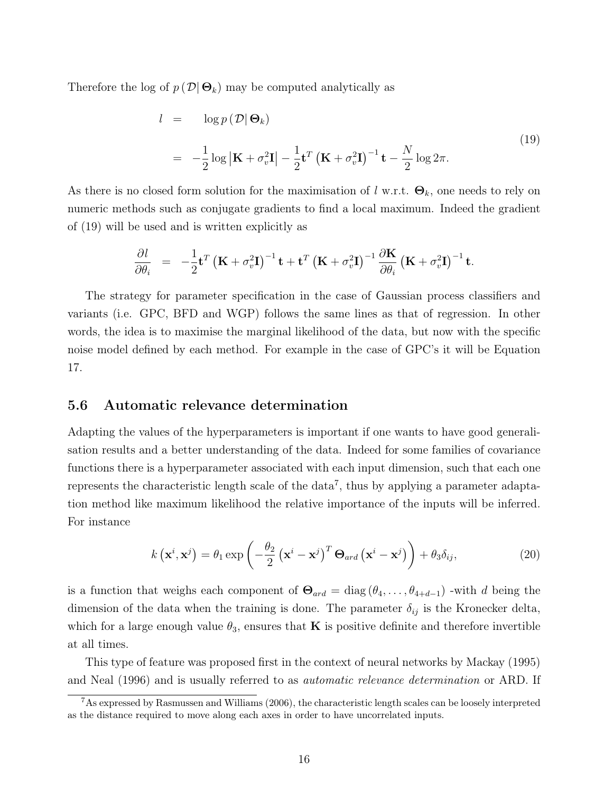Therefore the log of  $p(\mathcal{D}|\Theta_k)$  may be computed analytically as

$$
l = \log p(\mathcal{D}|\Theta_k)
$$
  
=  $-\frac{1}{2}\log |\mathbf{K} + \sigma_v^2 \mathbf{I}| - \frac{1}{2}\mathbf{t}^T (\mathbf{K} + \sigma_v^2 \mathbf{I})^{-1} \mathbf{t} - \frac{N}{2}\log 2\pi.$  (19)

As there is no closed form solution for the maximisation of l w.r.t.  $\Theta_k$ , one needs to rely on numeric methods such as conjugate gradients to find a local maximum. Indeed the gradient of (19) will be used and is written explicitly as

$$
\frac{\partial l}{\partial \theta_i} \;\; = \;\; -\frac{1}{2} \mathbf{t}^T \left( \mathbf{K} + \sigma_v^2 \mathbf{I} \right)^{-1} \mathbf{t} + \mathbf{t}^T \left( \mathbf{K} + \sigma_v^2 \mathbf{I} \right)^{-1} \frac{\partial \mathbf{K}}{\partial \theta_i} \left( \mathbf{K} + \sigma_v^2 \mathbf{I} \right)^{-1} \mathbf{t}.
$$

The strategy for parameter specification in the case of Gaussian process classifiers and variants (i.e. GPC, BFD and WGP) follows the same lines as that of regression. In other words, the idea is to maximise the marginal likelihood of the data, but now with the specific noise model defined by each method. For example in the case of GPC's it will be Equation 17.

### 5.6 Automatic relevance determination

Adapting the values of the hyperparameters is important if one wants to have good generalisation results and a better understanding of the data. Indeed for some families of covariance functions there is a hyperparameter associated with each input dimension, such that each one represents the characteristic length scale of the data<sup>7</sup>, thus by applying a parameter adaptation method like maximum likelihood the relative importance of the inputs will be inferred. For instance

$$
k\left(\mathbf{x}^i,\mathbf{x}^j\right) = \theta_1 \exp\left(-\frac{\theta_2}{2}\left(\mathbf{x}^i-\mathbf{x}^j\right)^T \mathbf{\Theta}_{ard}\left(\mathbf{x}^i-\mathbf{x}^j\right)\right) + \theta_3 \delta_{ij},\tag{20}
$$

is a function that weighs each component of  $\Theta_{ard} = \text{diag}(\theta_4, \dots, \theta_{4+d-1})$  -with d being the dimension of the data when the training is done. The parameter  $\delta_{ij}$  is the Kronecker delta, which for a large enough value  $\theta_3$ , ensures that **K** is positive definite and therefore invertible at all times.

This type of feature was proposed first in the context of neural networks by Mackay (1995) and Neal (1996) and is usually referred to as *automatic relevance determination* or ARD. If

<sup>7</sup>As expressed by Rasmussen and Williams (2006), the characteristic length scales can be loosely interpreted as the distance required to move along each axes in order to have uncorrelated inputs.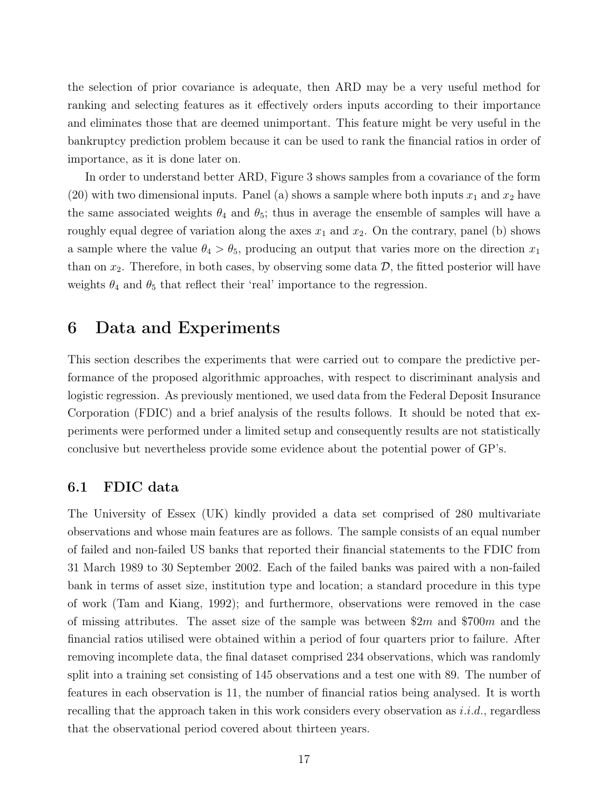the selection of prior covariance is adequate, then ARD may be a very useful method for ranking and selecting features as it effectively orders inputs according to their importance and eliminates those that are deemed unimportant. This feature might be very useful in the bankruptcy prediction problem because it can be used to rank the financial ratios in order of importance, as it is done later on.

In order to understand better ARD, Figure 3 shows samples from a covariance of the form (20) with two dimensional inputs. Panel (a) shows a sample where both inputs  $x_1$  and  $x_2$  have the same associated weights  $\theta_4$  and  $\theta_5$ ; thus in average the ensemble of samples will have a roughly equal degree of variation along the axes  $x_1$  and  $x_2$ . On the contrary, panel (b) shows a sample where the value  $\theta_4 > \theta_5$ , producing an output that varies more on the direction  $x_1$ than on  $x_2$ . Therefore, in both cases, by observing some data  $\mathcal{D}$ , the fitted posterior will have weights  $\theta_4$  and  $\theta_5$  that reflect their 'real' importance to the regression.

## 6 Data and Experiments

This section describes the experiments that were carried out to compare the predictive performance of the proposed algorithmic approaches, with respect to discriminant analysis and logistic regression. As previously mentioned, we used data from the Federal Deposit Insurance Corporation (FDIC) and a brief analysis of the results follows. It should be noted that experiments were performed under a limited setup and consequently results are not statistically conclusive but nevertheless provide some evidence about the potential power of GP's.

## 6.1 FDIC data

The University of Essex (UK) kindly provided a data set comprised of 280 multivariate observations and whose main features are as follows. The sample consists of an equal number of failed and non-failed US banks that reported their financial statements to the FDIC from 31 March 1989 to 30 September 2002. Each of the failed banks was paired with a non-failed bank in terms of asset size, institution type and location; a standard procedure in this type of work (Tam and Kiang, 1992); and furthermore, observations were removed in the case of missing attributes. The asset size of the sample was between  $2m$  and  $700m$  and the financial ratios utilised were obtained within a period of four quarters prior to failure. After removing incomplete data, the final dataset comprised 234 observations, which was randomly split into a training set consisting of 145 observations and a test one with 89. The number of features in each observation is 11, the number of financial ratios being analysed. It is worth recalling that the approach taken in this work considers every observation as  $i.i.d.$ , regardless that the observational period covered about thirteen years.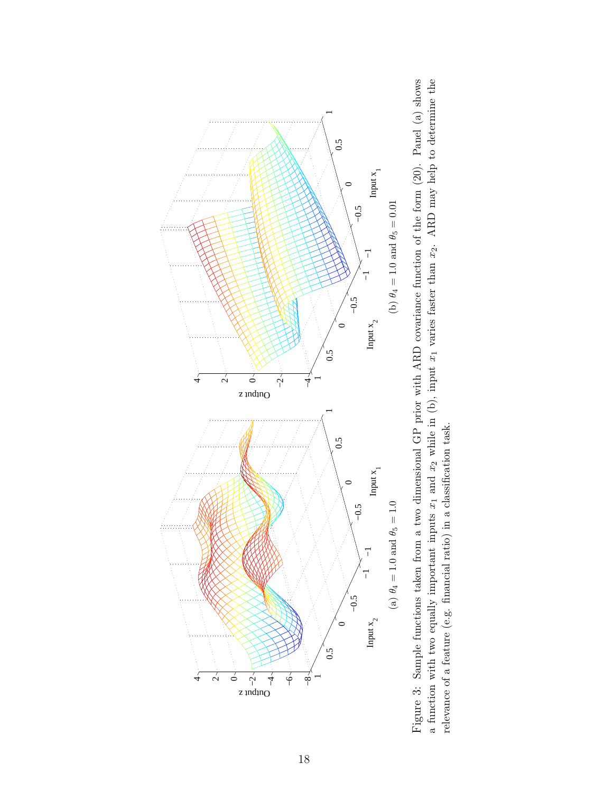

Figure 3: Sample functions taken from a two dimensional GP prior with ARD covariance function of the form (20). Panel (a) shows a function with two equally important inputs  $x_1$  and  $x_2$  while in (b), input  $x_1$  varies faster than  $x_2$ . ARD may help to determine the Figure 3: Sample functions taken from a two dimensional GP prior with ARD covariance function of the form (20). Panel (a) shows a function with two equally important inputs  $x_1$  and  $x_2$  while in (b), input  $x_1$  varies faster than  $x_2$ . ARD may help to determine the relevance of a feature (e.g. financial ratio) in a classification task. relevance of a feature (e.g. financial ratio) in a classification task.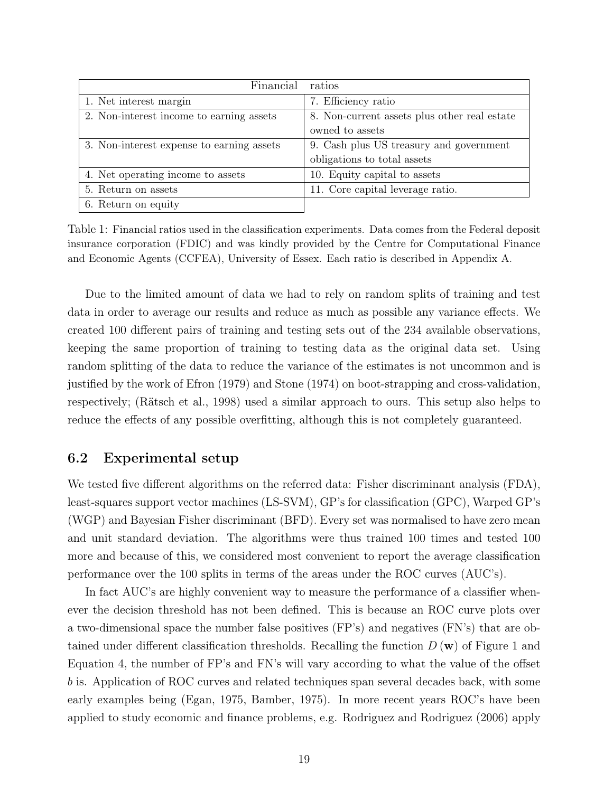| Financial                                 | ratios                                       |
|-------------------------------------------|----------------------------------------------|
| 1. Net interest margin                    | 7. Efficiency ratio                          |
| 2. Non-interest income to earning assets  | 8. Non-current assets plus other real estate |
|                                           | owned to assets                              |
| 3. Non-interest expense to earning assets | 9. Cash plus US treasury and government      |
|                                           | obligations to total assets                  |
| 4. Net operating income to assets         | 10. Equity capital to assets                 |
| 5. Return on assets                       | 11. Core capital leverage ratio.             |
| 6. Return on equity                       |                                              |

Table 1: Financial ratios used in the classification experiments. Data comes from the Federal deposit insurance corporation (FDIC) and was kindly provided by the Centre for Computational Finance and Economic Agents (CCFEA), University of Essex. Each ratio is described in Appendix A.

Due to the limited amount of data we had to rely on random splits of training and test data in order to average our results and reduce as much as possible any variance effects. We created 100 different pairs of training and testing sets out of the 234 available observations, keeping the same proportion of training to testing data as the original data set. Using random splitting of the data to reduce the variance of the estimates is not uncommon and is justified by the work of Efron (1979) and Stone (1974) on boot-strapping and cross-validation, respectively; (Rätsch et al., 1998) used a similar approach to ours. This setup also helps to reduce the effects of any possible overfitting, although this is not completely guaranteed.

## 6.2 Experimental setup

We tested five different algorithms on the referred data: Fisher discriminant analysis (FDA), least-squares support vector machines (LS-SVM), GP's for classification (GPC), Warped GP's (WGP) and Bayesian Fisher discriminant (BFD). Every set was normalised to have zero mean and unit standard deviation. The algorithms were thus trained 100 times and tested 100 more and because of this, we considered most convenient to report the average classification performance over the 100 splits in terms of the areas under the ROC curves (AUC's).

In fact AUC's are highly convenient way to measure the performance of a classifier whenever the decision threshold has not been defined. This is because an ROC curve plots over a two-dimensional space the number false positives (FP's) and negatives (FN's) that are obtained under different classification thresholds. Recalling the function  $D(\mathbf{w})$  of Figure 1 and Equation 4, the number of FP's and FN's will vary according to what the value of the offset b is. Application of ROC curves and related techniques span several decades back, with some early examples being (Egan, 1975, Bamber, 1975). In more recent years ROC's have been applied to study economic and finance problems, e.g. Rodriguez and Rodriguez (2006) apply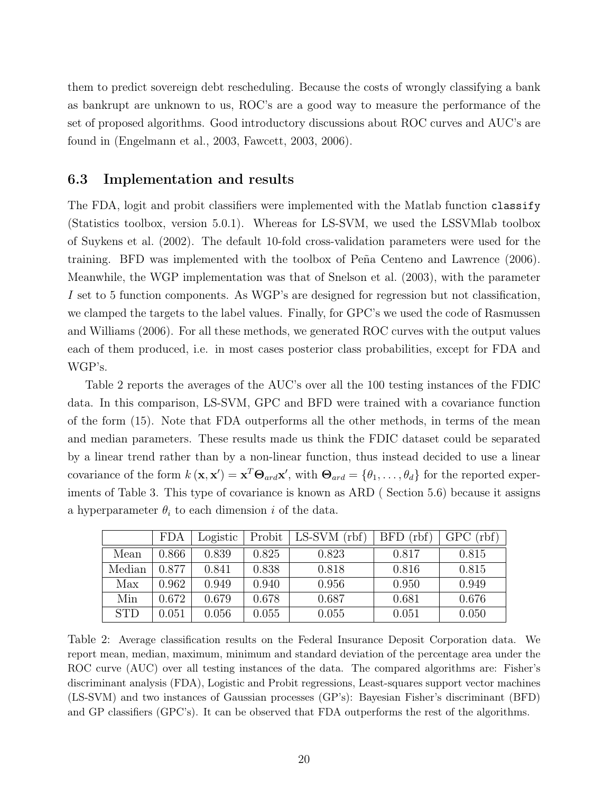them to predict sovereign debt rescheduling. Because the costs of wrongly classifying a bank as bankrupt are unknown to us, ROC's are a good way to measure the performance of the set of proposed algorithms. Good introductory discussions about ROC curves and AUC's are found in (Engelmann et al., 2003, Fawcett, 2003, 2006).

### 6.3 Implementation and results

The FDA, logit and probit classifiers were implemented with the Matlab function classify (Statistics toolbox, version 5.0.1). Whereas for LS-SVM, we used the LSSVMlab toolbox of Suykens et al. (2002). The default 10-fold cross-validation parameters were used for the training. BFD was implemented with the toolbox of Peña Centeno and Lawrence (2006). Meanwhile, the WGP implementation was that of Snelson et al. (2003), with the parameter I set to 5 function components. As WGP's are designed for regression but not classification, we clamped the targets to the label values. Finally, for GPC's we used the code of Rasmussen and Williams (2006). For all these methods, we generated ROC curves with the output values each of them produced, i.e. in most cases posterior class probabilities, except for FDA and WGP's.

Table 2 reports the averages of the AUC's over all the 100 testing instances of the FDIC data. In this comparison, LS-SVM, GPC and BFD were trained with a covariance function of the form (15). Note that FDA outperforms all the other methods, in terms of the mean and median parameters. These results made us think the FDIC dataset could be separated by a linear trend rather than by a non-linear function, thus instead decided to use a linear covariance of the form  $k(\mathbf{x}, \mathbf{x}') = \mathbf{x}^T \mathbf{\Theta}_{ard} \mathbf{x}'$ , with  $\mathbf{\Theta}_{ard} = {\theta_1, \dots, \theta_d}$  for the reported experiments of Table 3. This type of covariance is known as ARD ( Section 5.6) because it assigns a hyperparameter  $\theta_i$  to each dimension i of the data.

|            | <b>FDA</b> | Logistic | Probit | $LS-SVM$ (rbf) | (rbf)<br><b>BFD</b> | GPC(rbf) |
|------------|------------|----------|--------|----------------|---------------------|----------|
| Mean       | 0.866      | 0.839    | 0.825  | 0.823          | 0.817               | 0.815    |
| Median     | 0.877      | 0.841    | 0.838  | 0.818          | 0.816               | 0.815    |
| Max        | 0.962      | 0.949    | 0.940  | 0.956          | 0.950               | 0.949    |
| Min        | 0.672      | 0.679    | 0.678  | 0.687          | 0.681               | 0.676    |
| <b>STD</b> | 0.051      | 0.056    | 0.055  | 0.055          | 0.051               | 0.050    |

Table 2: Average classification results on the Federal Insurance Deposit Corporation data. We report mean, median, maximum, minimum and standard deviation of the percentage area under the ROC curve (AUC) over all testing instances of the data. The compared algorithms are: Fisher's discriminant analysis (FDA), Logistic and Probit regressions, Least-squares support vector machines (LS-SVM) and two instances of Gaussian processes (GP's): Bayesian Fisher's discriminant (BFD) and GP classifiers (GPC's). It can be observed that FDA outperforms the rest of the algorithms.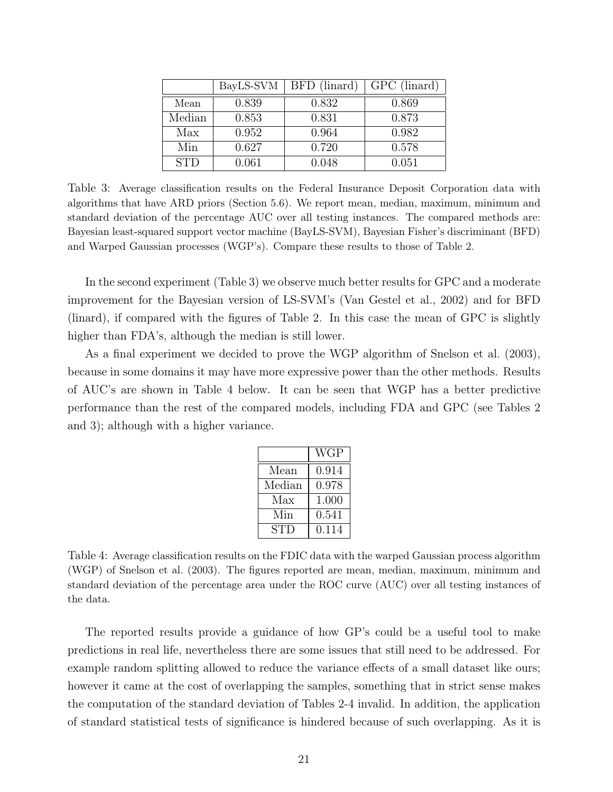|            | BayLS-SVM | BFD (linard) | GPC (linard) |
|------------|-----------|--------------|--------------|
| Mean       | 0.839     | 0.832        | 0.869        |
| Median     | 0.853     | 0.831        | 0.873        |
| Max        | 0.952     | 0.964        | 0.982        |
| Min        | 0.627     | 0.720        | 0.578        |
| <b>STD</b> | 0.061     | 0.048        | 0.051        |

Table 3: Average classification results on the Federal Insurance Deposit Corporation data with algorithms that have ARD priors (Section 5.6). We report mean, median, maximum, minimum and standard deviation of the percentage AUC over all testing instances. The compared methods are: Bayesian least-squared support vector machine (BayLS-SVM), Bayesian Fisher's discriminant (BFD) and Warped Gaussian processes (WGP's). Compare these results to those of Table 2.

In the second experiment (Table 3) we observe much better results for GPC and a moderate improvement for the Bayesian version of LS-SVM's (Van Gestel et al., 2002) and for BFD (linard), if compared with the figures of Table 2. In this case the mean of GPC is slightly higher than FDA's, although the median is still lower.

As a final experiment we decided to prove the WGP algorithm of Snelson et al. (2003), because in some domains it may have more expressive power than the other methods. Results of AUC's are shown in Table 4 below. It can be seen that WGP has a better predictive performance than the rest of the compared models, including FDA and GPC (see Tables 2 and 3); although with a higher variance.

|        | <b>WGP</b> |
|--------|------------|
| Mean   | 0.914      |
| Median | 0.978      |
| Max    | 1.000      |
| Min    | 0.541      |
| STD    | 0.114      |

Table 4: Average classification results on the FDIC data with the warped Gaussian process algorithm (WGP) of Snelson et al. (2003). The figures reported are mean, median, maximum, minimum and standard deviation of the percentage area under the ROC curve (AUC) over all testing instances of the data.

The reported results provide a guidance of how GP's could be a useful tool to make predictions in real life, nevertheless there are some issues that still need to be addressed. For example random splitting allowed to reduce the variance effects of a small dataset like ours; however it came at the cost of overlapping the samples, something that in strict sense makes the computation of the standard deviation of Tables 2-4 invalid. In addition, the application of standard statistical tests of significance is hindered because of such overlapping. As it is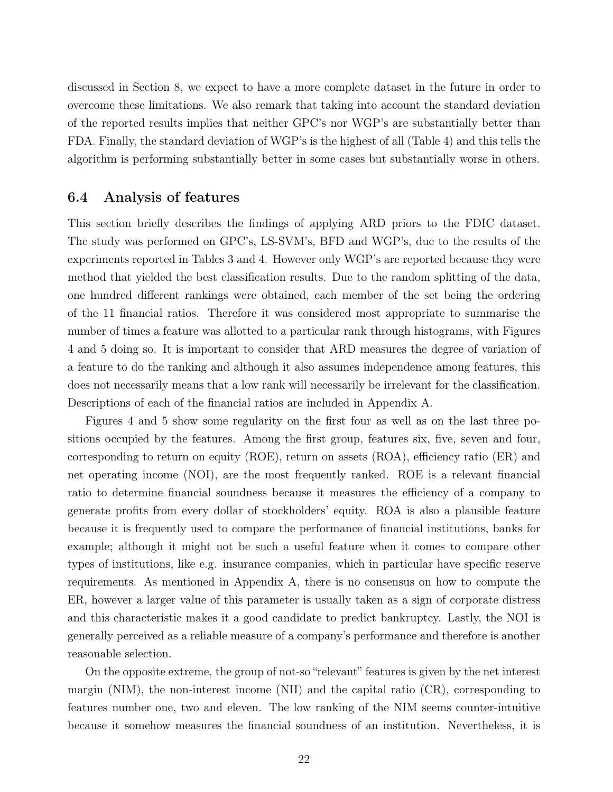discussed in Section 8, we expect to have a more complete dataset in the future in order to overcome these limitations. We also remark that taking into account the standard deviation of the reported results implies that neither GPC's nor WGP's are substantially better than FDA. Finally, the standard deviation of WGP's is the highest of all (Table 4) and this tells the algorithm is performing substantially better in some cases but substantially worse in others.

### 6.4 Analysis of features

This section briefly describes the findings of applying ARD priors to the FDIC dataset. The study was performed on GPC's, LS-SVM's, BFD and WGP's, due to the results of the experiments reported in Tables 3 and 4. However only WGP's are reported because they were method that yielded the best classification results. Due to the random splitting of the data, one hundred different rankings were obtained, each member of the set being the ordering of the 11 financial ratios. Therefore it was considered most appropriate to summarise the number of times a feature was allotted to a particular rank through histograms, with Figures 4 and 5 doing so. It is important to consider that ARD measures the degree of variation of a feature to do the ranking and although it also assumes independence among features, this does not necessarily means that a low rank will necessarily be irrelevant for the classification. Descriptions of each of the financial ratios are included in Appendix A.

Figures 4 and 5 show some regularity on the first four as well as on the last three positions occupied by the features. Among the first group, features six, five, seven and four, corresponding to return on equity (ROE), return on assets (ROA), efficiency ratio (ER) and net operating income (NOI), are the most frequently ranked. ROE is a relevant financial ratio to determine financial soundness because it measures the efficiency of a company to generate profits from every dollar of stockholders' equity. ROA is also a plausible feature because it is frequently used to compare the performance of financial institutions, banks for example; although it might not be such a useful feature when it comes to compare other types of institutions, like e.g. insurance companies, which in particular have specific reserve requirements. As mentioned in Appendix A, there is no consensus on how to compute the ER, however a larger value of this parameter is usually taken as a sign of corporate distress and this characteristic makes it a good candidate to predict bankruptcy. Lastly, the NOI is generally perceived as a reliable measure of a company's performance and therefore is another reasonable selection.

On the opposite extreme, the group of not-so "relevant" features is given by the net interest margin (NIM), the non-interest income (NII) and the capital ratio (CR), corresponding to features number one, two and eleven. The low ranking of the NIM seems counter-intuitive because it somehow measures the financial soundness of an institution. Nevertheless, it is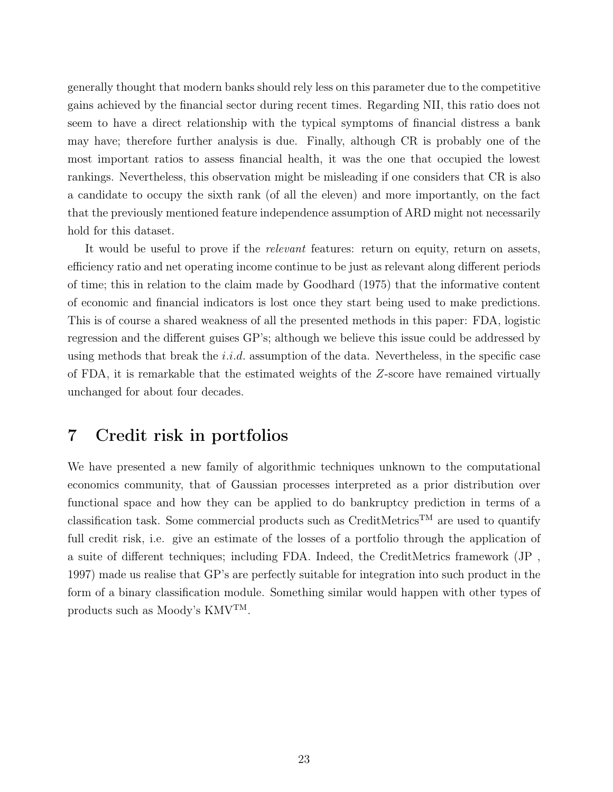generally thought that modern banks should rely less on this parameter due to the competitive gains achieved by the financial sector during recent times. Regarding NII, this ratio does not seem to have a direct relationship with the typical symptoms of financial distress a bank may have; therefore further analysis is due. Finally, although CR is probably one of the most important ratios to assess financial health, it was the one that occupied the lowest rankings. Nevertheless, this observation might be misleading if one considers that CR is also a candidate to occupy the sixth rank (of all the eleven) and more importantly, on the fact that the previously mentioned feature independence assumption of ARD might not necessarily hold for this dataset.

It would be useful to prove if the *relevant* features: return on equity, return on assets, efficiency ratio and net operating income continue to be just as relevant along different periods of time; this in relation to the claim made by Goodhard (1975) that the informative content of economic and financial indicators is lost once they start being used to make predictions. This is of course a shared weakness of all the presented methods in this paper: FDA, logistic regression and the different guises GP's; although we believe this issue could be addressed by using methods that break the *i.i.d.* assumption of the data. Nevertheless, in the specific case of FDA, it is remarkable that the estimated weights of the Z-score have remained virtually unchanged for about four decades.

## 7 Credit risk in portfolios

We have presented a new family of algorithmic techniques unknown to the computational economics community, that of Gaussian processes interpreted as a prior distribution over functional space and how they can be applied to do bankruptcy prediction in terms of a classification task. Some commercial products such as  $\text{CreditMetrics}^{\text{TM}}$  are used to quantify full credit risk, i.e. give an estimate of the losses of a portfolio through the application of a suite of different techniques; including FDA. Indeed, the CreditMetrics framework (JP , 1997) made us realise that GP's are perfectly suitable for integration into such product in the form of a binary classification module. Something similar would happen with other types of products such as Moody's KMVTM.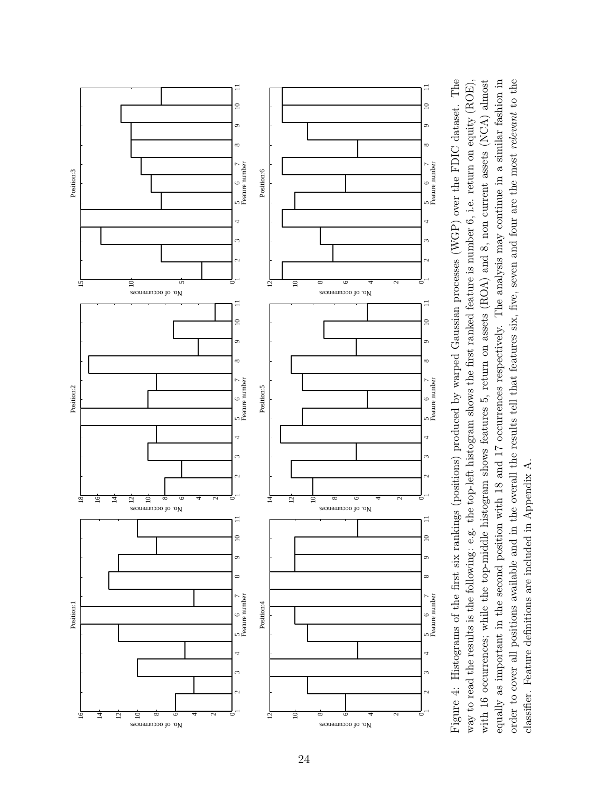

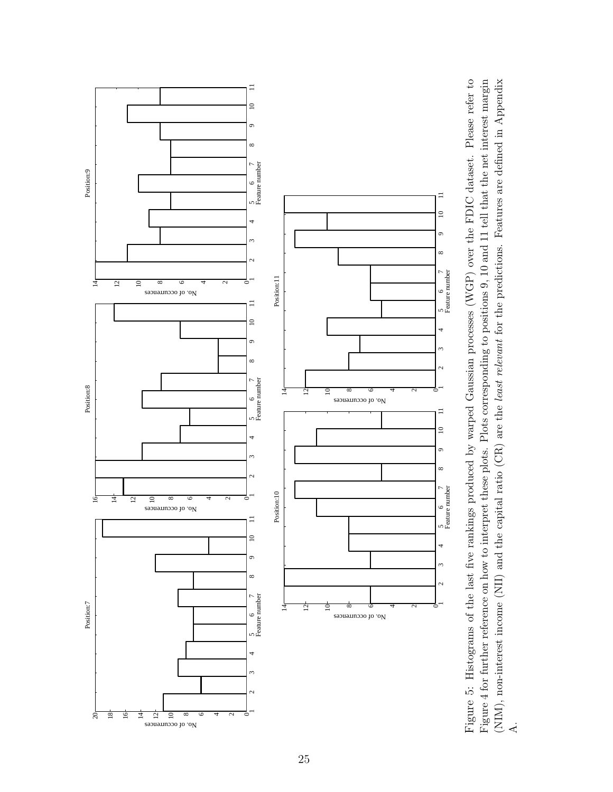

Figure 5: Histograms of the last five rankings produced by warped Gaussian processes (WGP) over the FDIC dataset. Please refer to Figure 4 for further reference on how to interpret these plots. Plots corresponding to positions 9, 10 and 11 tell that the net interest margin (NIM), non-interest income (NII) and the capital ratio (CR) are the *least relevant* for the predictions. Features are defined in Appendix  $A$ . (NIM), non-interest income (NII) and the capital ratio (CR) are the least relevant for the predictions. Features are defined in Appendix Figure 5: Histograms of the last five rankings produced by warped Gaussian processes (WGP) over the FDIC dataset. Please refer to Figure 4 for further reference on how to interpret these plots. Plots corresponding to positions 9, 10 and 11 tell that the net interest margin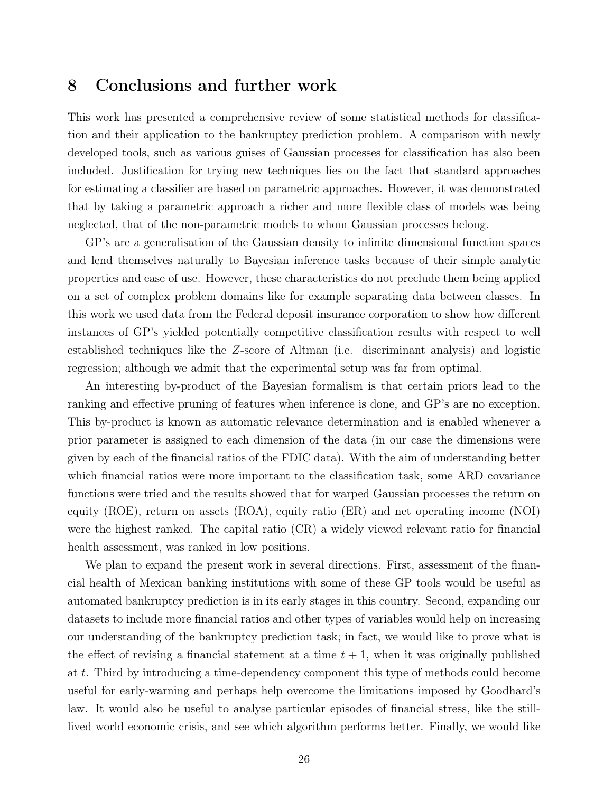## 8 Conclusions and further work

This work has presented a comprehensive review of some statistical methods for classification and their application to the bankruptcy prediction problem. A comparison with newly developed tools, such as various guises of Gaussian processes for classification has also been included. Justification for trying new techniques lies on the fact that standard approaches for estimating a classifier are based on parametric approaches. However, it was demonstrated that by taking a parametric approach a richer and more flexible class of models was being neglected, that of the non-parametric models to whom Gaussian processes belong.

GP's are a generalisation of the Gaussian density to infinite dimensional function spaces and lend themselves naturally to Bayesian inference tasks because of their simple analytic properties and ease of use. However, these characteristics do not preclude them being applied on a set of complex problem domains like for example separating data between classes. In this work we used data from the Federal deposit insurance corporation to show how different instances of GP's yielded potentially competitive classification results with respect to well established techniques like the Z-score of Altman (i.e. discriminant analysis) and logistic regression; although we admit that the experimental setup was far from optimal.

An interesting by-product of the Bayesian formalism is that certain priors lead to the ranking and effective pruning of features when inference is done, and GP's are no exception. This by-product is known as automatic relevance determination and is enabled whenever a prior parameter is assigned to each dimension of the data (in our case the dimensions were given by each of the financial ratios of the FDIC data). With the aim of understanding better which financial ratios were more important to the classification task, some ARD covariance functions were tried and the results showed that for warped Gaussian processes the return on equity (ROE), return on assets (ROA), equity ratio (ER) and net operating income (NOI) were the highest ranked. The capital ratio (CR) a widely viewed relevant ratio for financial health assessment, was ranked in low positions.

We plan to expand the present work in several directions. First, assessment of the financial health of Mexican banking institutions with some of these GP tools would be useful as automated bankruptcy prediction is in its early stages in this country. Second, expanding our datasets to include more financial ratios and other types of variables would help on increasing our understanding of the bankruptcy prediction task; in fact, we would like to prove what is the effect of revising a financial statement at a time  $t + 1$ , when it was originally published at t. Third by introducing a time-dependency component this type of methods could become useful for early-warning and perhaps help overcome the limitations imposed by Goodhard's law. It would also be useful to analyse particular episodes of financial stress, like the stilllived world economic crisis, and see which algorithm performs better. Finally, we would like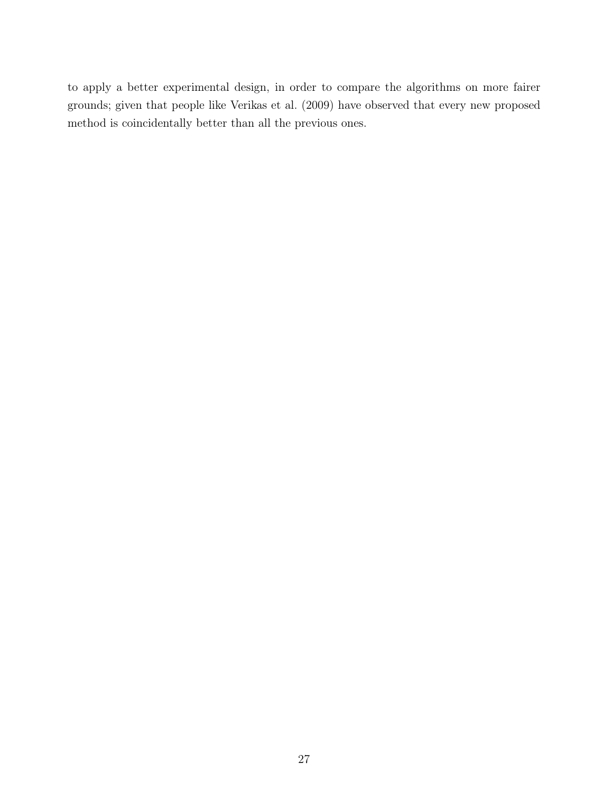to apply a better experimental design, in order to compare the algorithms on more fairer grounds; given that people like Verikas et al. (2009) have observed that every new proposed method is coincidentally better than all the previous ones.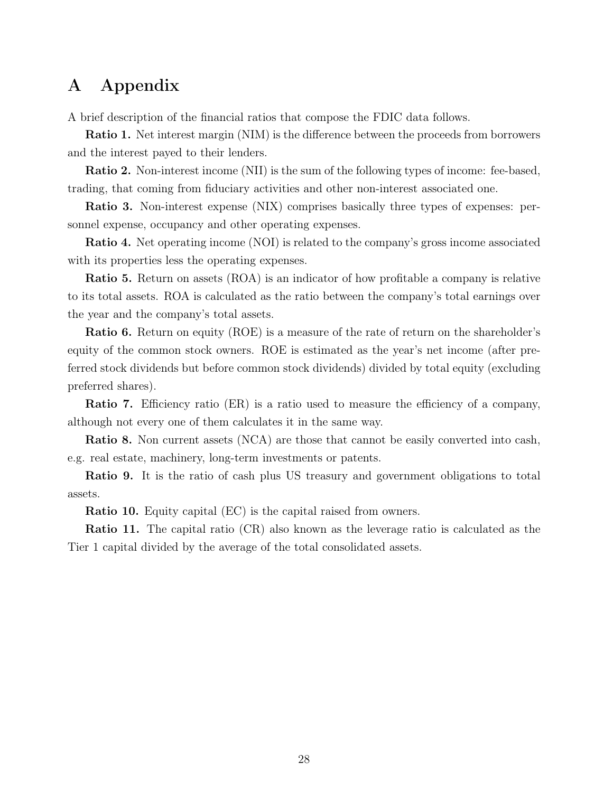# A Appendix

A brief description of the financial ratios that compose the FDIC data follows.

**Ratio 1.** Net interest margin (NIM) is the difference between the proceeds from borrowers and the interest payed to their lenders.

Ratio 2. Non-interest income (NII) is the sum of the following types of income: fee-based, trading, that coming from fiduciary activities and other non-interest associated one.

Ratio 3. Non-interest expense (NIX) comprises basically three types of expenses: personnel expense, occupancy and other operating expenses.

Ratio 4. Net operating income (NOI) is related to the company's gross income associated with its properties less the operating expenses.

Ratio 5. Return on assets (ROA) is an indicator of how profitable a company is relative to its total assets. ROA is calculated as the ratio between the company's total earnings over the year and the company's total assets.

**Ratio 6.** Return on equity (ROE) is a measure of the rate of return on the shareholder's equity of the common stock owners. ROE is estimated as the year's net income (after preferred stock dividends but before common stock dividends) divided by total equity (excluding preferred shares).

Ratio 7. Efficiency ratio (ER) is a ratio used to measure the efficiency of a company, although not every one of them calculates it in the same way.

Ratio 8. Non current assets (NCA) are those that cannot be easily converted into cash, e.g. real estate, machinery, long-term investments or patents.

Ratio 9. It is the ratio of cash plus US treasury and government obligations to total assets.

Ratio 10. Equity capital (EC) is the capital raised from owners.

Ratio 11. The capital ratio (CR) also known as the leverage ratio is calculated as the Tier 1 capital divided by the average of the total consolidated assets.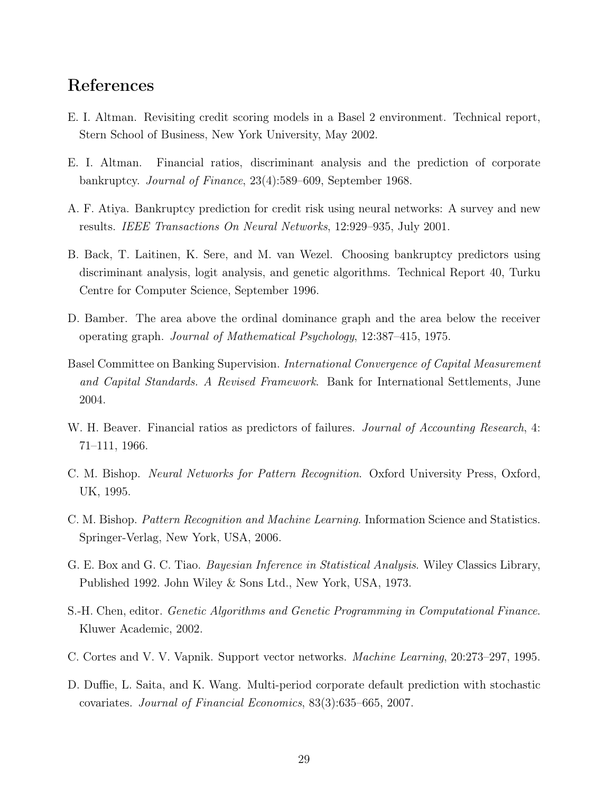# References

- E. I. Altman. Revisiting credit scoring models in a Basel 2 environment. Technical report, Stern School of Business, New York University, May 2002.
- E. I. Altman. Financial ratios, discriminant analysis and the prediction of corporate bankruptcy. Journal of Finance, 23(4):589–609, September 1968.
- A. F. Atiya. Bankruptcy prediction for credit risk using neural networks: A survey and new results. IEEE Transactions On Neural Networks, 12:929–935, July 2001.
- B. Back, T. Laitinen, K. Sere, and M. van Wezel. Choosing bankruptcy predictors using discriminant analysis, logit analysis, and genetic algorithms. Technical Report 40, Turku Centre for Computer Science, September 1996.
- D. Bamber. The area above the ordinal dominance graph and the area below the receiver operating graph. Journal of Mathematical Psychology, 12:387–415, 1975.
- Basel Committee on Banking Supervision. *International Convergence of Capital Measurement* and Capital Standards. A Revised Framework. Bank for International Settlements, June 2004.
- W. H. Beaver. Financial ratios as predictors of failures. *Journal of Accounting Research*, 4: 71–111, 1966.
- C. M. Bishop. Neural Networks for Pattern Recognition. Oxford University Press, Oxford, UK, 1995.
- C. M. Bishop. Pattern Recognition and Machine Learning. Information Science and Statistics. Springer-Verlag, New York, USA, 2006.
- G. E. Box and G. C. Tiao. *Bayesian Inference in Statistical Analysis*. Wiley Classics Library, Published 1992. John Wiley & Sons Ltd., New York, USA, 1973.
- S.-H. Chen, editor. Genetic Algorithms and Genetic Programming in Computational Finance. Kluwer Academic, 2002.
- C. Cortes and V. V. Vapnik. Support vector networks. Machine Learning, 20:273–297, 1995.
- D. Duffie, L. Saita, and K. Wang. Multi-period corporate default prediction with stochastic covariates. Journal of Financial Economics, 83(3):635–665, 2007.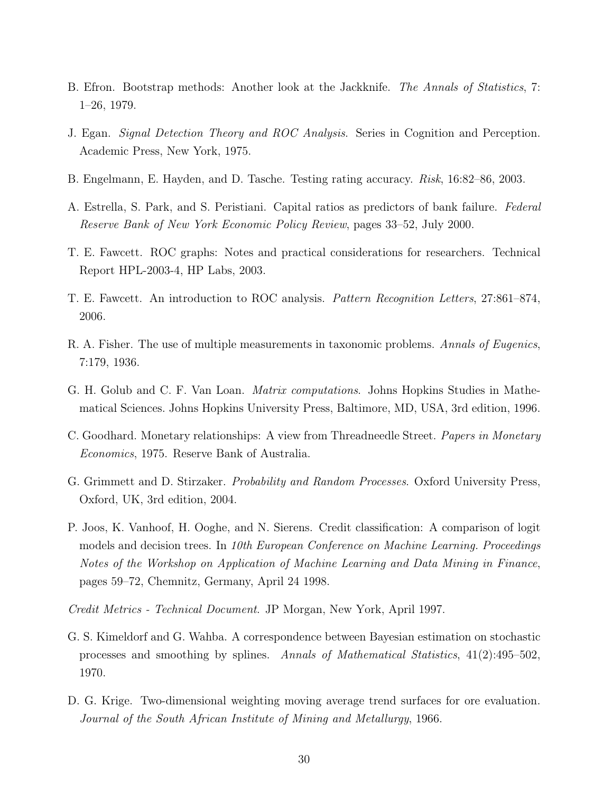- B. Efron. Bootstrap methods: Another look at the Jackknife. The Annals of Statistics, 7: 1–26, 1979.
- J. Egan. Signal Detection Theory and ROC Analysis. Series in Cognition and Perception. Academic Press, New York, 1975.
- B. Engelmann, E. Hayden, and D. Tasche. Testing rating accuracy. Risk, 16:82–86, 2003.
- A. Estrella, S. Park, and S. Peristiani. Capital ratios as predictors of bank failure. Federal Reserve Bank of New York Economic Policy Review, pages 33–52, July 2000.
- T. E. Fawcett. ROC graphs: Notes and practical considerations for researchers. Technical Report HPL-2003-4, HP Labs, 2003.
- T. E. Fawcett. An introduction to ROC analysis. Pattern Recognition Letters, 27:861–874, 2006.
- R. A. Fisher. The use of multiple measurements in taxonomic problems. Annals of Eugenics, 7:179, 1936.
- G. H. Golub and C. F. Van Loan. *Matrix computations*. Johns Hopkins Studies in Mathematical Sciences. Johns Hopkins University Press, Baltimore, MD, USA, 3rd edition, 1996.
- C. Goodhard. Monetary relationships: A view from Threadneedle Street. Papers in Monetary Economics, 1975. Reserve Bank of Australia.
- G. Grimmett and D. Stirzaker. Probability and Random Processes. Oxford University Press, Oxford, UK, 3rd edition, 2004.
- P. Joos, K. Vanhoof, H. Ooghe, and N. Sierens. Credit classification: A comparison of logit models and decision trees. In 10th European Conference on Machine Learning. Proceedings Notes of the Workshop on Application of Machine Learning and Data Mining in Finance, pages 59–72, Chemnitz, Germany, April 24 1998.

Credit Metrics - Technical Document. JP Morgan, New York, April 1997.

- G. S. Kimeldorf and G. Wahba. A correspondence between Bayesian estimation on stochastic processes and smoothing by splines. Annals of Mathematical Statistics, 41(2):495–502, 1970.
- D. G. Krige. Two-dimensional weighting moving average trend surfaces for ore evaluation. Journal of the South African Institute of Mining and Metallurgy, 1966.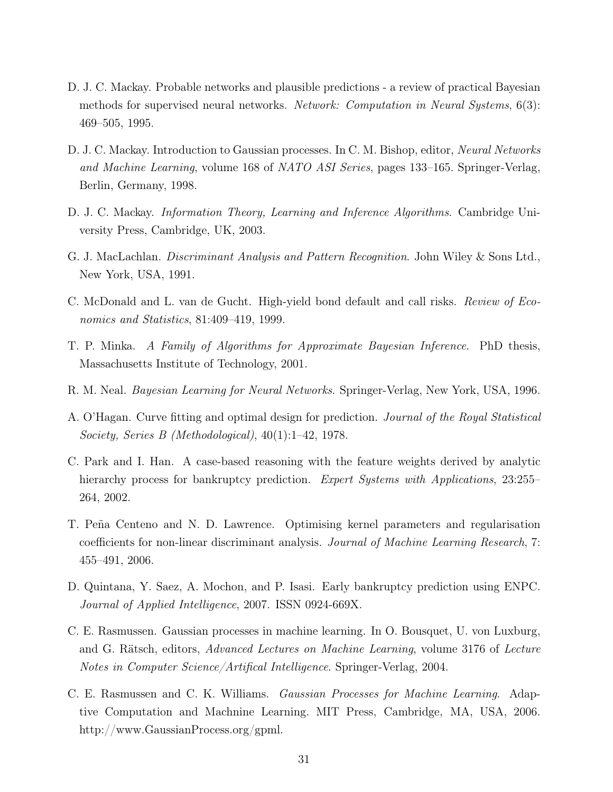- D. J. C. Mackay. Probable networks and plausible predictions a review of practical Bayesian methods for supervised neural networks. Network: Computation in Neural Systems, 6(3): 469–505, 1995.
- D. J. C. Mackay. Introduction to Gaussian processes. In C. M. Bishop, editor, *Neural Networks* and Machine Learning, volume 168 of NATO ASI Series, pages 133–165. Springer-Verlag, Berlin, Germany, 1998.
- D. J. C. Mackay. *Information Theory, Learning and Inference Algorithms*. Cambridge University Press, Cambridge, UK, 2003.
- G. J. MacLachlan. *Discriminant Analysis and Pattern Recognition*. John Wiley & Sons Ltd., New York, USA, 1991.
- C. McDonald and L. van de Gucht. High-yield bond default and call risks. Review of Economics and Statistics, 81:409–419, 1999.
- T. P. Minka. A Family of Algorithms for Approximate Bayesian Inference. PhD thesis, Massachusetts Institute of Technology, 2001.
- R. M. Neal. Bayesian Learning for Neural Networks. Springer-Verlag, New York, USA, 1996.
- A. O'Hagan. Curve fitting and optimal design for prediction. Journal of the Royal Statistical Society, Series B (Methodological), 40(1):1–42, 1978.
- C. Park and I. Han. A case-based reasoning with the feature weights derived by analytic hierarchy process for bankruptcy prediction. Expert Systems with Applications, 23:255– 264, 2002.
- T. Peña Centeno and N. D. Lawrence. Optimising kernel parameters and regularisation coefficients for non-linear discriminant analysis. Journal of Machine Learning Research, 7: 455–491, 2006.
- D. Quintana, Y. Saez, A. Mochon, and P. Isasi. Early bankruptcy prediction using ENPC. Journal of Applied Intelligence, 2007. ISSN 0924-669X.
- C. E. Rasmussen. Gaussian processes in machine learning. In O. Bousquet, U. von Luxburg, and G. Rätsch, editors, Advanced Lectures on Machine Learning, volume 3176 of Lecture Notes in Computer Science/Artifical Intelligence. Springer-Verlag, 2004.
- C. E. Rasmussen and C. K. Williams. Gaussian Processes for Machine Learning. Adaptive Computation and Machnine Learning. MIT Press, Cambridge, MA, USA, 2006. http://www.GaussianProcess.org/gpml.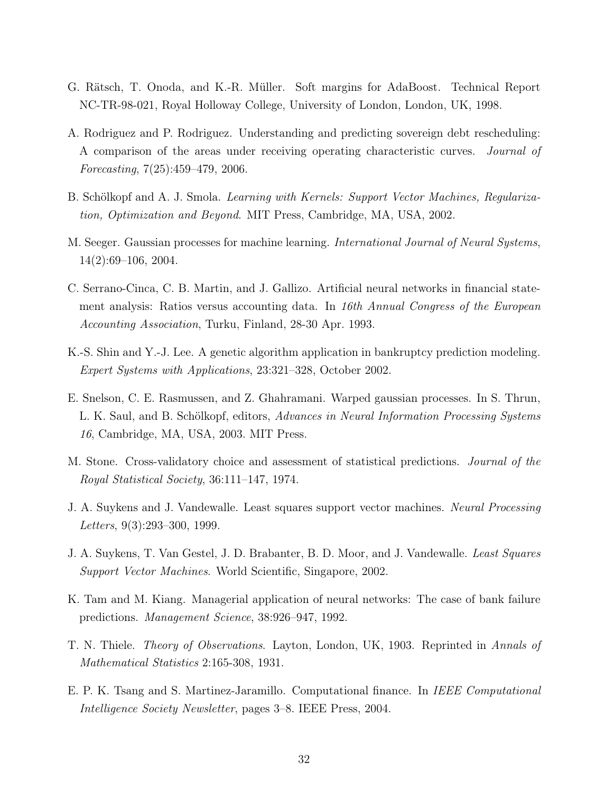- G. Rätsch, T. Onoda, and K.-R. Müller. Soft margins for AdaBoost. Technical Report NC-TR-98-021, Royal Holloway College, University of London, London, UK, 1998.
- A. Rodriguez and P. Rodriguez. Understanding and predicting sovereign debt rescheduling: A comparison of the areas under receiving operating characteristic curves. Journal of Forecasting, 7(25):459–479, 2006.
- B. Schölkopf and A. J. Smola. Learning with Kernels: Support Vector Machines, Regularization, Optimization and Beyond. MIT Press, Cambridge, MA, USA, 2002.
- M. Seeger. Gaussian processes for machine learning. *International Journal of Neural Systems*, 14(2):69–106, 2004.
- C. Serrano-Cinca, C. B. Martin, and J. Gallizo. Artificial neural networks in financial statement analysis: Ratios versus accounting data. In 16th Annual Congress of the European Accounting Association, Turku, Finland, 28-30 Apr. 1993.
- K.-S. Shin and Y.-J. Lee. A genetic algorithm application in bankruptcy prediction modeling. Expert Systems with Applications, 23:321–328, October 2002.
- E. Snelson, C. E. Rasmussen, and Z. Ghahramani. Warped gaussian processes. In S. Thrun, L. K. Saul, and B. Schölkopf, editors, Advances in Neural Information Processing Systems 16, Cambridge, MA, USA, 2003. MIT Press.
- M. Stone. Cross-validatory choice and assessment of statistical predictions. Journal of the Royal Statistical Society, 36:111–147, 1974.
- J. A. Suykens and J. Vandewalle. Least squares support vector machines. Neural Processing Letters, 9(3):293–300, 1999.
- J. A. Suykens, T. Van Gestel, J. D. Brabanter, B. D. Moor, and J. Vandewalle. Least Squares Support Vector Machines. World Scientific, Singapore, 2002.
- K. Tam and M. Kiang. Managerial application of neural networks: The case of bank failure predictions. Management Science, 38:926–947, 1992.
- T. N. Thiele. Theory of Observations. Layton, London, UK, 1903. Reprinted in Annals of Mathematical Statistics 2:165-308, 1931.
- E. P. K. Tsang and S. Martinez-Jaramillo. Computational finance. In IEEE Computational Intelligence Society Newsletter, pages 3–8. IEEE Press, 2004.